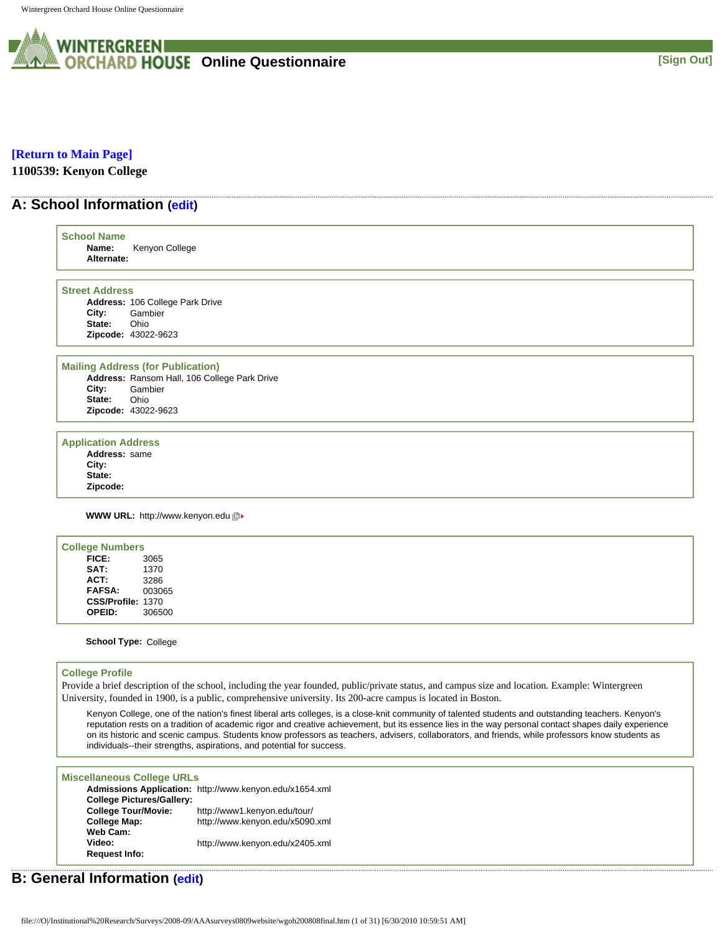

## **[\[Return to Main Page\]](http://survey.wgoh.com/secure/contents.htm)**

**1100539: Kenyon College** 

## **A: School Information ([edit](http://survey.wgoh.com/secure/sectionAView.htm))**

| <b>School Name</b><br>Name:<br>Alternate:                                  | Kenyon College                                                                                                                     |  |  |  |
|----------------------------------------------------------------------------|------------------------------------------------------------------------------------------------------------------------------------|--|--|--|
| <b>Street Address</b>                                                      | Address: 106 College Park Drive                                                                                                    |  |  |  |
| City:<br>State:                                                            | Gambier<br>Ohio<br>Zipcode: 43022-9623                                                                                             |  |  |  |
| City:<br>State:                                                            | <b>Mailing Address (for Publication)</b><br>Address: Ransom Hall, 106 College Park Drive<br>Gambier<br>Ohio<br>Zipcode: 43022-9623 |  |  |  |
| <b>Application Address</b><br>Address: same<br>City:<br>State:<br>Zipcode: |                                                                                                                                    |  |  |  |
| WWW URL: http://www.kenyon.edu 回                                           |                                                                                                                                    |  |  |  |
| <b>College Numbers</b>                                                     |                                                                                                                                    |  |  |  |

| 3065                        |
|-----------------------------|
| 1370                        |
| 3286                        |
| 003065                      |
| <b>CSS/Profile:</b><br>1370 |
| 306500                      |
|                             |

**School Type:** College

## **College Profile**

Provide a brief description of the school, including the year founded, public/private status, and campus size and location. Example: Wintergreen University, founded in 1900, is a public, comprehensive university. Its 200-acre campus is located in Boston.

Kenyon College, one of the nation's finest liberal arts colleges, is a close-knit community of talented students and outstanding teachers. Kenyon's reputation rests on a tradition of academic rigor and creative achievement, but its essence lies in the way personal contact shapes daily experience on its historic and scenic campus. Students know professors as teachers, advisers, collaborators, and friends, while professors know students as individuals--their strengths, aspirations, and potential for success.

| <b>Miscellaneous College URLs</b> |                                                         |
|-----------------------------------|---------------------------------------------------------|
|                                   | Admissions Application: http://www.kenyon.edu/x1654.xml |
| <b>College Pictures/Gallery:</b>  |                                                         |
| <b>College Tour/Movie:</b>        | http://www1.kenyon.edu/tour/                            |
| College Map:                      | http://www.kenyon.edu/x5090.xml                         |
| Web Cam:                          |                                                         |
| Video:                            | http://www.kenyon.edu/x2405.xml                         |
| <b>Request Info:</b>              |                                                         |

# **B: General Information [\(edit](http://survey.wgoh.com/secure/sectionBView.htm))**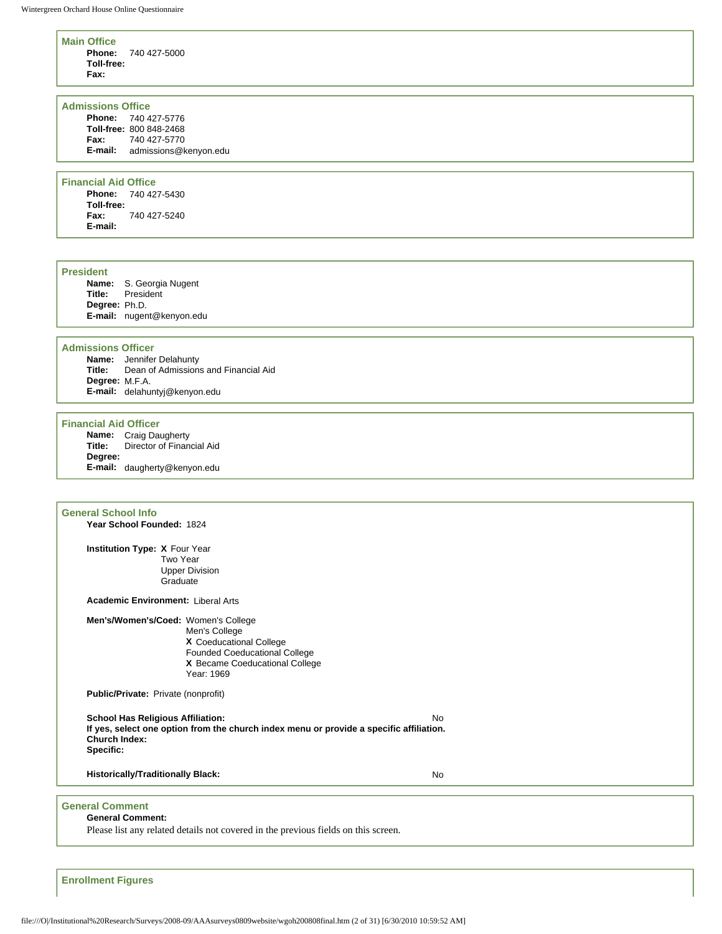#### **Main Office**

**Phone:** 740 427-5000 **Toll-free: Fax:**

## **Admissions Office**

**Phone:** 740 427-5776 **Toll-free:** 800 848-2468 **Fax:** 740 427-5770 **E-mail:** admissions@kenyon.edu

## **Financial Aid Office**

**Phone:** 740 427-5430 **Toll-free: Fax:** 740 427-5240 **E-mail:**

#### **President**

**Name:** S. Georgia Nugent President **Degree:** Ph.D. **E-mail:** nugent@kenyon.edu

#### **Admissions Officer**

**Name:** Jennifer Delahunty **Title:** Dean of Admissions and Financial Aid **Degree:** M.F.A. **E-mail:** delahuntyj@kenyon.edu

## **Financial Aid Officer**

**Name:** Craig Daugherty **Title:** Director of Financial Aid **Degree: E-mail:** daugherty@kenyon.edu

## **General School Info**

**Year School Founded:** 1824

**Institution Type: X** Four Year Two Year Upper Division Graduate

**Academic Environment:** Liberal Arts

**Men's/Women's/Coed:** Women's College Men's College **X** Coeducational College Founded Coeducational College **X** Became Coeducational College Year: 1969

**Public/Private:** Private (nonprofit)

**School Has Religious Affiliation:** No **If yes, select one option from the church index menu or provide a specific affiliation. Church Index: Specific:**

**Historically/Traditionally Black:** No

## **General Comment General Comment:**

Please list any related details not covered in the previous fields on this screen.

**Enrollment Figures**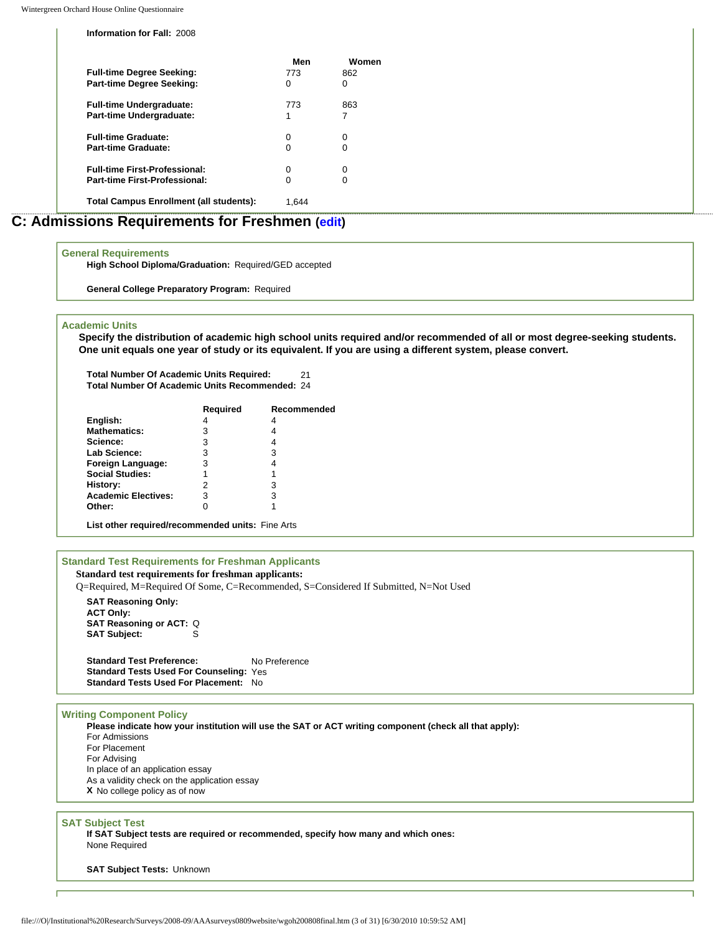**Information for Fall:** 2008

|                                                | Men   | Women       |
|------------------------------------------------|-------|-------------|
| <b>Full-time Degree Seeking:</b>               | 773   | 862         |
| <b>Part-time Degree Seeking:</b>               | 0     | 0           |
| <b>Full-time Undergraduate:</b>                | 773   | 863         |
| Part-time Undergraduate:                       |       | ⇁           |
| <b>Full-time Graduate:</b>                     | 0     | $\mathbf 0$ |
| <b>Part-time Graduate:</b>                     | 0     | 0           |
| <b>Full-time First-Professional:</b>           | 0     | 0           |
| Part-time First-Professional:                  | 0     | $\Omega$    |
| <b>Total Campus Enrollment (all students):</b> | 1.644 |             |

## **C: Admissions Requirements for Freshmen [\(edit\)](http://survey.wgoh.com/secure/sectionCView.htm)**

**General Requirements**

**High School Diploma/Graduation:** Required/GED accepted

**General College Preparatory Program:** Required

### **Academic Units**

**Specify the distribution of academic high school units required and/or recommended of all or most degree-seeking students. One unit equals one year of study or its equivalent. If you are using a different system, please convert.** 

**Total Number Of Academic Units Required:** 21 **Total Number Of Academic Units Recommended:** 24

|                            | <b>Required</b> | Recommended |
|----------------------------|-----------------|-------------|
| English:                   |                 | 4           |
| <b>Mathematics:</b>        | 3               | 4           |
| Science:                   | 3               | 4           |
| Lab Science:               | 3               | 3           |
| Foreign Language:          | 3               | 4           |
| <b>Social Studies:</b>     |                 |             |
| History:                   | 2               | 3           |
| <b>Academic Electives:</b> | 3               | 3           |
| Other:                     |                 | 1           |
|                            |                 |             |

**List other required/recommended units:** Fine Arts

## **Standard Test Requirements for Freshman Applicants**

**Standard test requirements for freshman applicants:**

Q=Required, M=Required Of Some, C=Recommended, S=Considered If Submitted, N=Not Used

**SAT Reasoning Only: ACT Only: SAT Reasoning or ACT:** Q **SAT Subject:** S

**Standard Test Preference:** No Preference **Standard Tests Used For Counseling:** Yes **Standard Tests Used For Placement:** No

### **Writing Component Policy**

**Please indicate how your institution will use the SAT or ACT writing component (check all that apply):** For Admissions For Placement For Advising In place of an application essay As a validity check on the application essay **X** No college policy as of now

## **SAT Subject Test**

**If SAT Subject tests are required or recommended, specify how many and which ones:**  None Required

**SAT Subject Tests:** Unknown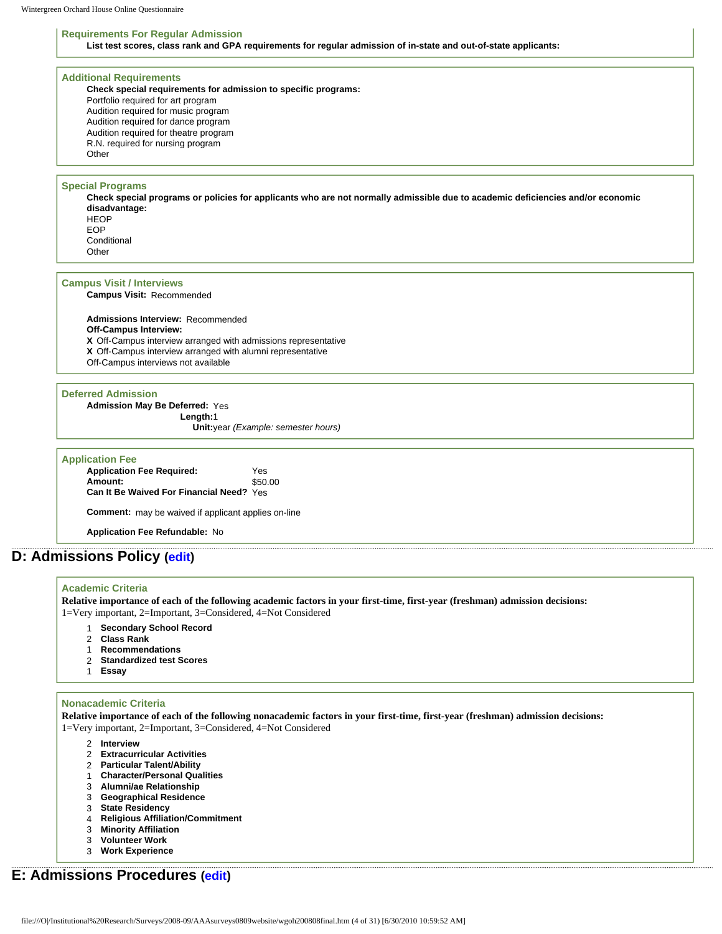#### **Requirements For Regular Admission**

**List test scores, class rank and GPA requirements for regular admission of in-state and out-of-state applicants:** 

#### **Additional Requirements**

**Check special requirements for admission to specific programs:** Portfolio required for art program Audition required for music program Audition required for dance program Audition required for theatre program R.N. required for nursing program **Other** 

### **Special Programs**

**Check special programs or policies for applicants who are not normally admissible due to academic deficiencies and/or economic disadvantage: HEOP** EOP **Conditional** 

**Other** 

## **Campus Visit / Interviews**

**Campus Visit:** Recommended

**Admissions Interview:** Recommended **Off-Campus Interview: X** Off-Campus interview arranged with admissions representative **X** Off-Campus interview arranged with alumni representative Off-Campus interviews not available

### **Deferred Admission**

**Admission May Be Deferred:** Yes **Length:**1 **Unit:**year *(Example: semester hours)*

### **Application Fee**

| <b>Application Fee Required:</b>         | Yes     |
|------------------------------------------|---------|
| Amount:                                  | \$50.00 |
| Can It Be Waived For Financial Need? Yes |         |

**Comment:** may be waived if applicant applies on-line

**Application Fee Refundable:** No

## **D: Admissions Policy ([edit\)](http://survey.wgoh.com/secure/sectionDView.htm)**

#### **Academic Criteria**

**Relative importance of each of the following academic factors in your first-time, first-year (freshman) admission decisions:**

- 1=Very important, 2=Important, 3=Considered, 4=Not Considered
	- 1 **Secondary School Record**
	- 2 **Class Rank**
	- 1 **Recommendations**
	- 2 **Standardized test Scores**
	- 1 **Essay**

#### **Nonacademic Criteria**

**Relative importance of each of the following nonacademic factors in your first-time, first-year (freshman) admission decisions:** 1=Very important, 2=Important, 3=Considered, 4=Not Considered

- 2 **Interview**
- 2 **Extracurricular Activities**
- 2 **Particular Talent/Ability**
- 1 **Character/Personal Qualities**
- 3 **Alumni/ae Relationship**
- 3 **Geographical Residence**
- 3 **State Residency**
- 
- 4 **Religious Affiliation/Commitment**
- 3 **Minority Affiliation**
- 3 **Volunteer Work** 3 **Work Experience**
- 

## **E: Admissions Procedures ([edit](http://survey.wgoh.com/secure/sectionEView.htm))**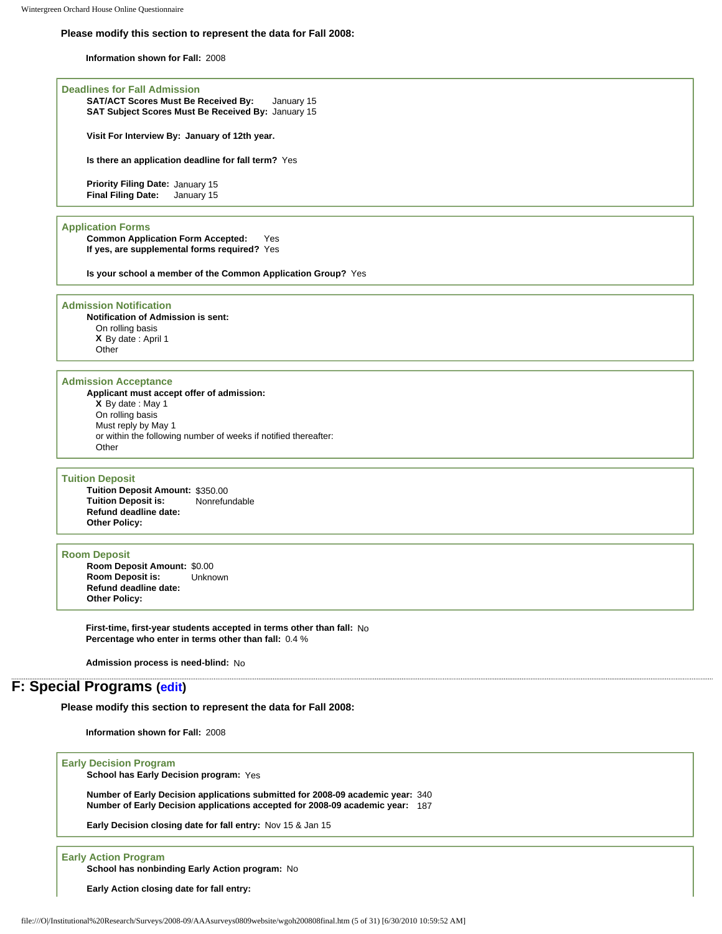### **Please modify this section to represent the data for Fall 2008:**

**Information shown for Fall:** 2008

## **Deadlines for Fall Admission**

**SAT/ACT Scores Must Be Received By:** January 15 **SAT Subject Scores Must Be Received By:** January 15

**Visit For Interview By: January of 12th year.**

**Is there an application deadline for fall term?** Yes

**Priority Filing Date:** January 15 **Final Filing Date:** January 15

### **Application Forms**

**Common Application Form Accepted:** Yes **If yes, are supplemental forms required?** Yes

**Is your school a member of the Common Application Group?** Yes

## **Admission Notification**

**Notification of Admission is sent:** On rolling basis **X** By date : April 1 **Other** 

## **Admission Acceptance**

**Applicant must accept offer of admission: X** By date : May 1 On rolling basis Must reply by May 1 or within the following number of weeks if notified thereafter: **Other** 

### **Tuition Deposit**

**Tuition Deposit Amount:** \$350.00 **Tuition Deposit is:** Nonrefundable **Refund deadline date: Other Policy:**

## **Room Deposit**

**Room Deposit Amount: \$0.00<br><b>Room Deposit is:** Unknown **Room Deposit is: Refund deadline date: Other Policy:**

**First-time, first-year students accepted in terms other than fall:** No **Percentage who enter in terms other than fall:** 0.4 %

**Admission process is need-blind:** No

## **F: Special Programs [\(edit\)](http://survey.wgoh.com/secure/sectionFView.htm)**

**Please modify this section to represent the data for Fall 2008:** 

**Information shown for Fall:** 2008

### **Early Decision Program**

**School has Early Decision program:** Yes

**Number of Early Decision applications submitted for 2008-09 academic year:** 340 **Number of Early Decision applications accepted for 2008-09 academic year:** 187

**Early Decision closing date for fall entry:** Nov 15 & Jan 15

## **Early Action Program**

**School has nonbinding Early Action program:** No

**Early Action closing date for fall entry:**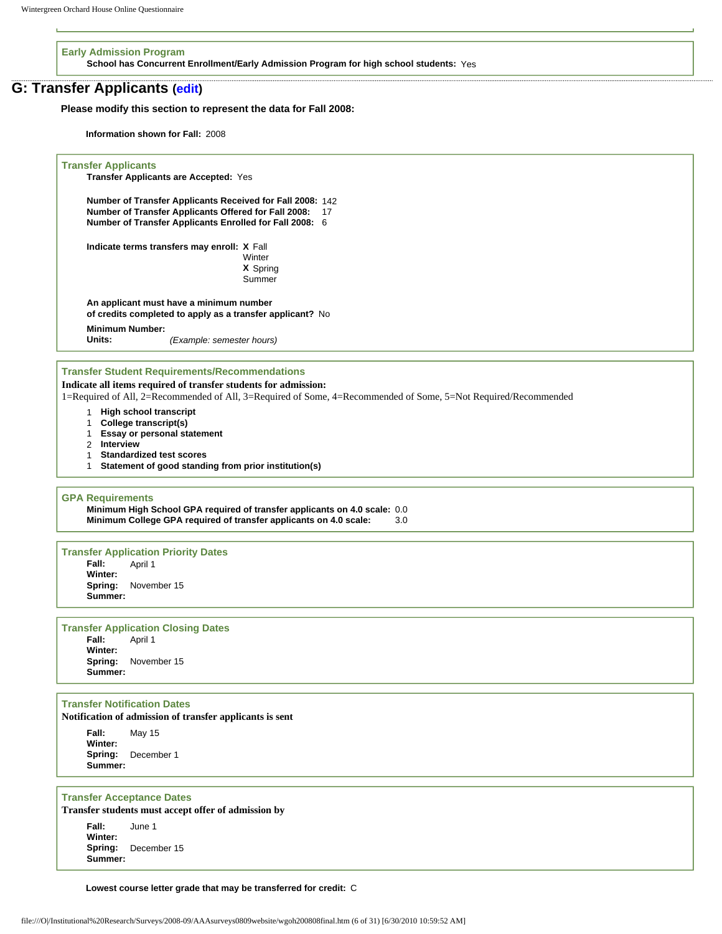**Early Admission Program School has Concurrent Enrollment/Early Admission Program for high school students:** Yes

## **G: Transfer Applicants ([edit](http://survey.wgoh.com/secure/sectionGView.htm))**

**Please modify this section to represent the data for Fall 2008:** 

**Information shown for Fall:** 2008

```
Transfer Applicants
     Transfer Applicants are Accepted: Yes 
     Number of Transfer Applicants Received for Fall 2008: 142 
     Number of Transfer Applicants Offered for Fall 2008: 17 
     Number of Transfer Applicants Enrolled for Fall 2008: 6 
     Indicate terms transfers may enroll: X Fall 
                                         Winter
                                         X Spring 
                                         Summer 
     An applicant must have a minimum number 
     of credits completed to apply as a transfer applicant? No 
     Minimum Number:
                        Units: (Example: semester hours)
Transfer Student Requirements/Recommendations
Indicate all items required of transfer students for admission:
1=Required of All, 2=Recommended of All, 3=Required of Some, 4=Recommended of Some, 5=Not Required/Recommended
     1 High school transcript
     1 College transcript(s)
     1 Essay or personal statement
     2 Interview
     1 Standardized test scores
     1 Statement of good standing from prior institution(s)
GPA Requirements
     Minimum High School GPA required of transfer applicants on 4.0 scale: 0.0 
     Minimum College GPA required of transfer applicants on 4.0 scale: 3.0 
Transfer Application Priority Dates
               Fall: April 1 
     Winter:
     Spring: November 15 
     Summer:
Transfer Application Closing Dates
               Fall: April 1 
     Winter:
     Spring: November 15 
     Summer:
Transfer Notification Dates
Notification of admission of transfer applicants is sent
     Fall: May 15 
     Winter:
     Spring: December 1 
     Summer:
Transfer Acceptance Dates
Transfer students must accept offer of admission by
```
**Fall:** June 1 **Winter: Spring:** December 15 **Summer:**

**Lowest course letter grade that may be transferred for credit:** C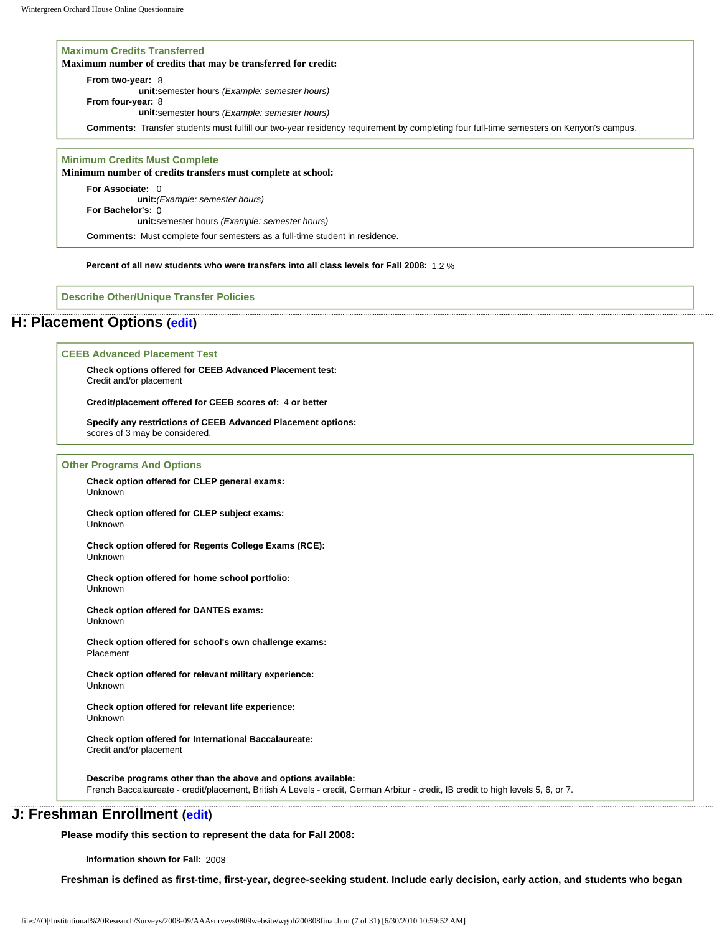## **Maximum Credits Transferred**

**Maximum number of credits that may be transferred for credit:**

**From two-year:** 8 **unit:**semester hours *(Example: semester hours)* **From four-year:** 8 **unit:**semester hours *(Example: semester hours)*

**Comments:** Transfer students must fulfill our two-year residency requirement by completing four full-time semesters on Kenyon's campus.

## **Minimum Credits Must Complete**

**Minimum number of credits transfers must complete at school: For Associate:** 0 **unit:***(Example: semester hours)* **For Bachelor's:** 0 **unit:**semester hours *(Example: semester hours)* **Comments:** Must complete four semesters as a full-time student in residence.

**Percent of all new students who were transfers into all class levels for Fall 2008:** 1.2 %

**Describe Other/Unique Transfer Policies**

## **H: Placement Options ([edit\)](http://survey.wgoh.com/secure/sectionHView.htm)**

#### **CEEB Advanced Placement Test**

**Check options offered for CEEB Advanced Placement test:** Credit and/or placement

**Credit/placement offered for CEEB scores of:** 4 **or better**

## **Specify any restrictions of CEEB Advanced Placement options:**

scores of 3 may be considered.

### **Other Programs And Options**

**Check option offered for CLEP general exams:** Unknown

**Check option offered for CLEP subject exams:** Unknown

**Check option offered for Regents College Exams (RCE):** Unknown

**Check option offered for home school portfolio:** Unknown

**Check option offered for DANTES exams:** Unknown

**Check option offered for school's own challenge exams:** Placement

**Check option offered for relevant military experience:** Unknown

**Check option offered for relevant life experience:** Unknown

**Check option offered for International Baccalaureate:** Credit and/or placement

**Describe programs other than the above and options available:**  French Baccalaureate - credit/placement, British A Levels - credit, German Arbitur - credit, IB credit to high levels 5, 6, or 7.

## **J: Freshman Enrollment [\(edit\)](http://survey.wgoh.com/secure/sectionJView.htm)**

**Please modify this section to represent the data for Fall 2008:** 

**Information shown for Fall:** 2008

**Freshman is defined as first-time, first-year, degree-seeking student. Include early decision, early action, and students who began**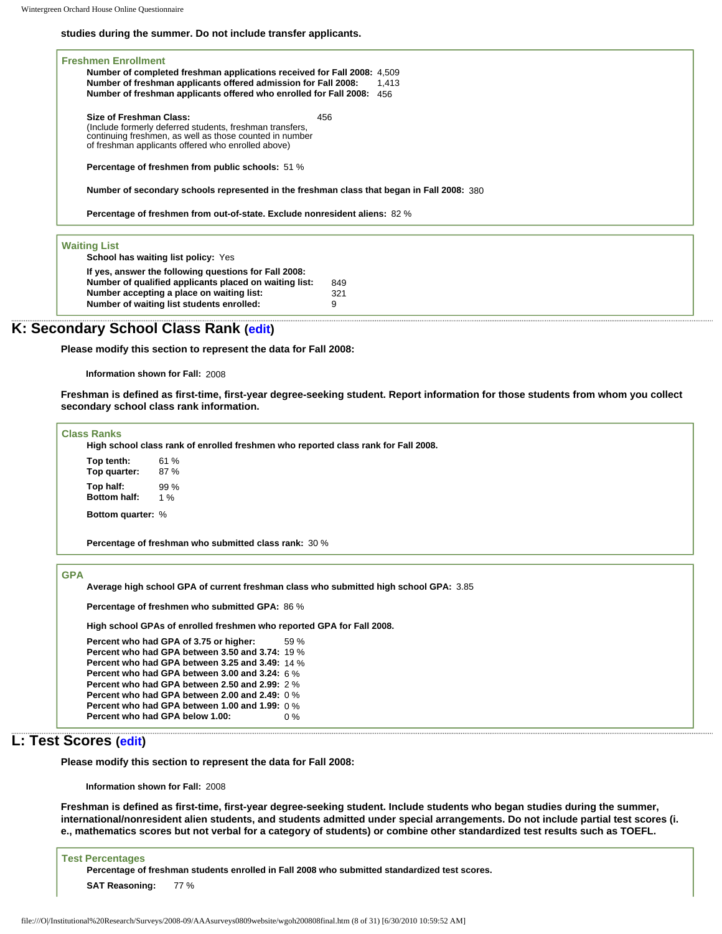## **studies during the summer. Do not include transfer applicants.**

| <b>Freshmen Enrollment</b>                                                                 |       |
|--------------------------------------------------------------------------------------------|-------|
| Number of completed freshman applications received for Fall 2008: 4,509                    |       |
| Number of freshman applicants offered admission for Fall 2008:                             | 1.413 |
| Number of freshman applicants offered who enrolled for Fall 2008:                          | 456   |
|                                                                                            |       |
| Size of Freshman Class:                                                                    | 456   |
| (Include formerly deferred students, freshman transfers,                                   |       |
| continuing freshmen, as well as those counted in number                                    |       |
| of freshman applicants offered who enrolled above)                                         |       |
| Percentage of freshmen from public schools: 51 %                                           |       |
|                                                                                            |       |
| Number of secondary schools represented in the freshman class that began in Fall 2008: 380 |       |
| Percentage of freshmen from out-of-state. Exclude nonresident aliens: 82 %                 |       |
| <b>Waiting List</b><br><b>School has waiting list policy: Yes</b>                          |       |
|                                                                                            |       |
| If yes, answer the following questions for Fall 2008:                                      |       |
| Number of qualified applicants placed on waiting list:                                     | 849   |
| Number accepting a place on waiting list:                                                  | 321   |

## **K: Secondary School Class Rank ([edit](http://survey.wgoh.com/secure/sectionKView.htm))**

**Please modify this section to represent the data for Fall 2008:** 

**Number of waiting list students enrolled:** 9

**Information shown for Fall:** 2008

**Freshman is defined as first-time, first-year degree-seeking student. Report information for those students from whom you collect secondary school class rank information.** 

### **Class Ranks**

**High school class rank of enrolled freshmen who reported class rank for Fall 2008.**

**Top tenth:** 61 % **Top quarter:** 87 % **Top half:** 99 %<br>**Bottom half:** 1 % **Bottom half: Bottom quarter:** %

**Percentage of freshman who submitted class rank:** 30 %

## **GPA**

**Average high school GPA of current freshman class who submitted high school GPA:** 3.85

**Percentage of freshmen who submitted GPA:** 86 %

**High school GPAs of enrolled freshmen who reported GPA for Fall 2008.**

| Percent who had GPA of 3.75 or higher:                 | 59% |
|--------------------------------------------------------|-----|
| Percent who had GPA between 3.50 and 3.74: 19 %        |     |
| <b>Percent who had GPA between 3.25 and 3.49: 14 %</b> |     |
| Percent who had GPA between 3.00 and 3.24: 6 %         |     |
| Percent who had GPA between 2.50 and 2.99: 2 %         |     |
| Percent who had GPA between 2.00 and 2.49: 0 %         |     |
| Percent who had GPA between 1.00 and 1.99: 0 %         |     |
| Percent who had GPA below 1.00:                        | 0 % |
|                                                        |     |

## **L: Test Scores ([edit](http://survey.wgoh.com/secure/sectionLView.htm))**

**Please modify this section to represent the data for Fall 2008:** 

**Information shown for Fall:** 2008

**Freshman is defined as first-time, first-year degree-seeking student. Include students who began studies during the summer, international/nonresident alien students, and students admitted under special arrangements. Do not include partial test scores (i. e., mathematics scores but not verbal for a category of students) or combine other standardized test results such as TOEFL.** 

## **Test Percentages**

**Percentage of freshman students enrolled in Fall 2008 who submitted standardized test scores.**

**SAT Reasoning: 77%**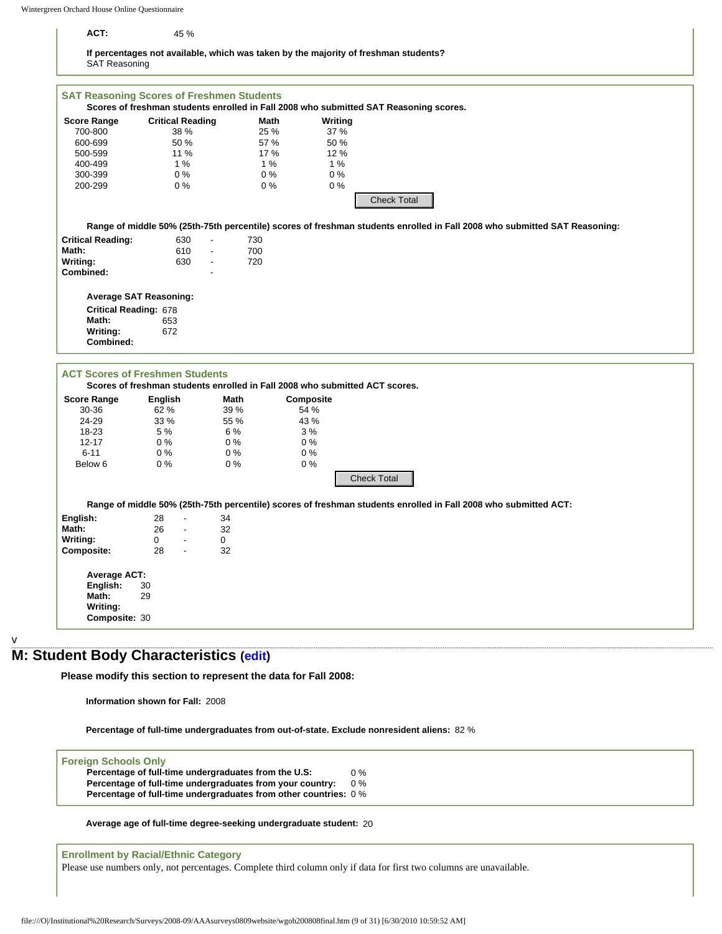## **ACT:** 45 %

**If percentages not available, which was taken by the majority of freshman students?** SAT Reasoning

| 700-800<br>38 %<br>25 %<br>37 %<br>50 %<br>600-699<br>57 %<br>50 %<br>11 %<br>17 %<br>500-599<br>12%<br>1%<br>1%<br>1%<br>400-499<br>$0\%$<br>$0\%$<br>$0\%$<br>300-399<br>$0\%$<br>$0\%$<br>$0\%$<br>200-299<br><b>Check Total</b><br>Range of middle 50% (25th-75th percentile) scores of freshman students enrolled in Fall 2008 who submitted SAT Reasoning:<br><b>Critical Reading:</b><br>630<br>730<br>$\overline{\phantom{a}}$<br>Math:<br>610<br>700<br>$\sim$<br>Writing:<br>630<br>720<br>$\blacksquare$<br>Combined:<br><b>Average SAT Reasoning:</b><br><b>Critical Reading: 678</b><br>Math:<br>653<br>Writing:<br>672<br>Combined:<br><b>ACT Scores of Freshmen Students</b><br>Scores of freshman students enrolled in Fall 2008 who submitted ACT scores.<br>Composite<br><b>Score Range</b><br>English<br>Math<br>62 %<br>30-36<br>39 %<br>54 %<br>24-29<br>33 %<br>55 %<br>43 %<br>5 %<br>6 %<br>3%<br>18-23<br>$0\%$<br>$12 - 17$<br>$0\%$<br>$0\%$<br>$6 - 11$<br>$0\%$<br>$0\%$<br>$0\%$<br>$0\%$<br>$0\%$<br>Below 6<br>$0\%$<br><b>Check Total</b><br>Range of middle 50% (25th-75th percentile) scores of freshman students enrolled in Fall 2008 who submitted ACT:<br>English:<br>28<br>34<br>$\mathcal{L}$<br>Math:<br>26<br>32<br>$\blacksquare$<br>$\mathbf{0}$<br>$\mathbf 0$<br>Writing:<br>$\blacksquare$<br>Composite:<br>28<br>32<br>$\overline{\phantom{a}}$<br>Average ACT:<br>English:<br>30<br>Math:<br>29<br>Writina:<br>Composite: 30<br>I: Student Body Characteristics (edit)<br>Please modify this section to represent the data for Fall 2008:<br>Information shown for Fall: 2008<br>Percentage of full-time undergraduates from out-of-state. Exclude nonresident aliens: 82 %<br><b>Foreign Schools Only</b><br>Percentage of full-time undergraduates from the U.S:<br>$0\%$<br>Percentage of full-time undergraduates from your country:<br>$0\%$<br>Percentage of full-time undergraduates from other countries: 0 %<br>Average age of full-time degree-seeking undergraduate student: 20<br><b>Enrollment by Racial/Ethnic Category</b><br>Please use numbers only, not percentages. Complete third column only if data for first two columns are unavailable. | <b>Score Range</b> | <b>Critical Reading</b> | Math | Scores of freshman students enrolled in Fall 2008 who submitted SAT Reasoning scores.<br>Writing |  |
|--------------------------------------------------------------------------------------------------------------------------------------------------------------------------------------------------------------------------------------------------------------------------------------------------------------------------------------------------------------------------------------------------------------------------------------------------------------------------------------------------------------------------------------------------------------------------------------------------------------------------------------------------------------------------------------------------------------------------------------------------------------------------------------------------------------------------------------------------------------------------------------------------------------------------------------------------------------------------------------------------------------------------------------------------------------------------------------------------------------------------------------------------------------------------------------------------------------------------------------------------------------------------------------------------------------------------------------------------------------------------------------------------------------------------------------------------------------------------------------------------------------------------------------------------------------------------------------------------------------------------------------------------------------------------------------------------------------------------------------------------------------------------------------------------------------------------------------------------------------------------------------------------------------------------------------------------------------------------------------------------------------------------------------------------------------------------------------------------------------------------------------------------------------------------------------------------------------------|--------------------|-------------------------|------|--------------------------------------------------------------------------------------------------|--|
|                                                                                                                                                                                                                                                                                                                                                                                                                                                                                                                                                                                                                                                                                                                                                                                                                                                                                                                                                                                                                                                                                                                                                                                                                                                                                                                                                                                                                                                                                                                                                                                                                                                                                                                                                                                                                                                                                                                                                                                                                                                                                                                                                                                                                    |                    |                         |      |                                                                                                  |  |
|                                                                                                                                                                                                                                                                                                                                                                                                                                                                                                                                                                                                                                                                                                                                                                                                                                                                                                                                                                                                                                                                                                                                                                                                                                                                                                                                                                                                                                                                                                                                                                                                                                                                                                                                                                                                                                                                                                                                                                                                                                                                                                                                                                                                                    |                    |                         |      |                                                                                                  |  |
|                                                                                                                                                                                                                                                                                                                                                                                                                                                                                                                                                                                                                                                                                                                                                                                                                                                                                                                                                                                                                                                                                                                                                                                                                                                                                                                                                                                                                                                                                                                                                                                                                                                                                                                                                                                                                                                                                                                                                                                                                                                                                                                                                                                                                    |                    |                         |      |                                                                                                  |  |
|                                                                                                                                                                                                                                                                                                                                                                                                                                                                                                                                                                                                                                                                                                                                                                                                                                                                                                                                                                                                                                                                                                                                                                                                                                                                                                                                                                                                                                                                                                                                                                                                                                                                                                                                                                                                                                                                                                                                                                                                                                                                                                                                                                                                                    |                    |                         |      |                                                                                                  |  |
|                                                                                                                                                                                                                                                                                                                                                                                                                                                                                                                                                                                                                                                                                                                                                                                                                                                                                                                                                                                                                                                                                                                                                                                                                                                                                                                                                                                                                                                                                                                                                                                                                                                                                                                                                                                                                                                                                                                                                                                                                                                                                                                                                                                                                    |                    |                         |      |                                                                                                  |  |
|                                                                                                                                                                                                                                                                                                                                                                                                                                                                                                                                                                                                                                                                                                                                                                                                                                                                                                                                                                                                                                                                                                                                                                                                                                                                                                                                                                                                                                                                                                                                                                                                                                                                                                                                                                                                                                                                                                                                                                                                                                                                                                                                                                                                                    |                    |                         |      |                                                                                                  |  |
|                                                                                                                                                                                                                                                                                                                                                                                                                                                                                                                                                                                                                                                                                                                                                                                                                                                                                                                                                                                                                                                                                                                                                                                                                                                                                                                                                                                                                                                                                                                                                                                                                                                                                                                                                                                                                                                                                                                                                                                                                                                                                                                                                                                                                    |                    |                         |      |                                                                                                  |  |
|                                                                                                                                                                                                                                                                                                                                                                                                                                                                                                                                                                                                                                                                                                                                                                                                                                                                                                                                                                                                                                                                                                                                                                                                                                                                                                                                                                                                                                                                                                                                                                                                                                                                                                                                                                                                                                                                                                                                                                                                                                                                                                                                                                                                                    |                    |                         |      |                                                                                                  |  |
|                                                                                                                                                                                                                                                                                                                                                                                                                                                                                                                                                                                                                                                                                                                                                                                                                                                                                                                                                                                                                                                                                                                                                                                                                                                                                                                                                                                                                                                                                                                                                                                                                                                                                                                                                                                                                                                                                                                                                                                                                                                                                                                                                                                                                    |                    |                         |      |                                                                                                  |  |
|                                                                                                                                                                                                                                                                                                                                                                                                                                                                                                                                                                                                                                                                                                                                                                                                                                                                                                                                                                                                                                                                                                                                                                                                                                                                                                                                                                                                                                                                                                                                                                                                                                                                                                                                                                                                                                                                                                                                                                                                                                                                                                                                                                                                                    |                    |                         |      |                                                                                                  |  |
|                                                                                                                                                                                                                                                                                                                                                                                                                                                                                                                                                                                                                                                                                                                                                                                                                                                                                                                                                                                                                                                                                                                                                                                                                                                                                                                                                                                                                                                                                                                                                                                                                                                                                                                                                                                                                                                                                                                                                                                                                                                                                                                                                                                                                    |                    |                         |      |                                                                                                  |  |
|                                                                                                                                                                                                                                                                                                                                                                                                                                                                                                                                                                                                                                                                                                                                                                                                                                                                                                                                                                                                                                                                                                                                                                                                                                                                                                                                                                                                                                                                                                                                                                                                                                                                                                                                                                                                                                                                                                                                                                                                                                                                                                                                                                                                                    |                    |                         |      |                                                                                                  |  |
|                                                                                                                                                                                                                                                                                                                                                                                                                                                                                                                                                                                                                                                                                                                                                                                                                                                                                                                                                                                                                                                                                                                                                                                                                                                                                                                                                                                                                                                                                                                                                                                                                                                                                                                                                                                                                                                                                                                                                                                                                                                                                                                                                                                                                    |                    |                         |      |                                                                                                  |  |
|                                                                                                                                                                                                                                                                                                                                                                                                                                                                                                                                                                                                                                                                                                                                                                                                                                                                                                                                                                                                                                                                                                                                                                                                                                                                                                                                                                                                                                                                                                                                                                                                                                                                                                                                                                                                                                                                                                                                                                                                                                                                                                                                                                                                                    |                    |                         |      |                                                                                                  |  |
|                                                                                                                                                                                                                                                                                                                                                                                                                                                                                                                                                                                                                                                                                                                                                                                                                                                                                                                                                                                                                                                                                                                                                                                                                                                                                                                                                                                                                                                                                                                                                                                                                                                                                                                                                                                                                                                                                                                                                                                                                                                                                                                                                                                                                    |                    |                         |      |                                                                                                  |  |
|                                                                                                                                                                                                                                                                                                                                                                                                                                                                                                                                                                                                                                                                                                                                                                                                                                                                                                                                                                                                                                                                                                                                                                                                                                                                                                                                                                                                                                                                                                                                                                                                                                                                                                                                                                                                                                                                                                                                                                                                                                                                                                                                                                                                                    |                    |                         |      |                                                                                                  |  |
|                                                                                                                                                                                                                                                                                                                                                                                                                                                                                                                                                                                                                                                                                                                                                                                                                                                                                                                                                                                                                                                                                                                                                                                                                                                                                                                                                                                                                                                                                                                                                                                                                                                                                                                                                                                                                                                                                                                                                                                                                                                                                                                                                                                                                    |                    |                         |      |                                                                                                  |  |
|                                                                                                                                                                                                                                                                                                                                                                                                                                                                                                                                                                                                                                                                                                                                                                                                                                                                                                                                                                                                                                                                                                                                                                                                                                                                                                                                                                                                                                                                                                                                                                                                                                                                                                                                                                                                                                                                                                                                                                                                                                                                                                                                                                                                                    |                    |                         |      |                                                                                                  |  |
|                                                                                                                                                                                                                                                                                                                                                                                                                                                                                                                                                                                                                                                                                                                                                                                                                                                                                                                                                                                                                                                                                                                                                                                                                                                                                                                                                                                                                                                                                                                                                                                                                                                                                                                                                                                                                                                                                                                                                                                                                                                                                                                                                                                                                    |                    |                         |      |                                                                                                  |  |
|                                                                                                                                                                                                                                                                                                                                                                                                                                                                                                                                                                                                                                                                                                                                                                                                                                                                                                                                                                                                                                                                                                                                                                                                                                                                                                                                                                                                                                                                                                                                                                                                                                                                                                                                                                                                                                                                                                                                                                                                                                                                                                                                                                                                                    |                    |                         |      |                                                                                                  |  |
|                                                                                                                                                                                                                                                                                                                                                                                                                                                                                                                                                                                                                                                                                                                                                                                                                                                                                                                                                                                                                                                                                                                                                                                                                                                                                                                                                                                                                                                                                                                                                                                                                                                                                                                                                                                                                                                                                                                                                                                                                                                                                                                                                                                                                    |                    |                         |      |                                                                                                  |  |
|                                                                                                                                                                                                                                                                                                                                                                                                                                                                                                                                                                                                                                                                                                                                                                                                                                                                                                                                                                                                                                                                                                                                                                                                                                                                                                                                                                                                                                                                                                                                                                                                                                                                                                                                                                                                                                                                                                                                                                                                                                                                                                                                                                                                                    |                    |                         |      |                                                                                                  |  |
|                                                                                                                                                                                                                                                                                                                                                                                                                                                                                                                                                                                                                                                                                                                                                                                                                                                                                                                                                                                                                                                                                                                                                                                                                                                                                                                                                                                                                                                                                                                                                                                                                                                                                                                                                                                                                                                                                                                                                                                                                                                                                                                                                                                                                    |                    |                         |      |                                                                                                  |  |
|                                                                                                                                                                                                                                                                                                                                                                                                                                                                                                                                                                                                                                                                                                                                                                                                                                                                                                                                                                                                                                                                                                                                                                                                                                                                                                                                                                                                                                                                                                                                                                                                                                                                                                                                                                                                                                                                                                                                                                                                                                                                                                                                                                                                                    |                    |                         |      |                                                                                                  |  |
|                                                                                                                                                                                                                                                                                                                                                                                                                                                                                                                                                                                                                                                                                                                                                                                                                                                                                                                                                                                                                                                                                                                                                                                                                                                                                                                                                                                                                                                                                                                                                                                                                                                                                                                                                                                                                                                                                                                                                                                                                                                                                                                                                                                                                    |                    |                         |      |                                                                                                  |  |
|                                                                                                                                                                                                                                                                                                                                                                                                                                                                                                                                                                                                                                                                                                                                                                                                                                                                                                                                                                                                                                                                                                                                                                                                                                                                                                                                                                                                                                                                                                                                                                                                                                                                                                                                                                                                                                                                                                                                                                                                                                                                                                                                                                                                                    |                    |                         |      |                                                                                                  |  |
|                                                                                                                                                                                                                                                                                                                                                                                                                                                                                                                                                                                                                                                                                                                                                                                                                                                                                                                                                                                                                                                                                                                                                                                                                                                                                                                                                                                                                                                                                                                                                                                                                                                                                                                                                                                                                                                                                                                                                                                                                                                                                                                                                                                                                    |                    |                         |      |                                                                                                  |  |
|                                                                                                                                                                                                                                                                                                                                                                                                                                                                                                                                                                                                                                                                                                                                                                                                                                                                                                                                                                                                                                                                                                                                                                                                                                                                                                                                                                                                                                                                                                                                                                                                                                                                                                                                                                                                                                                                                                                                                                                                                                                                                                                                                                                                                    |                    |                         |      |                                                                                                  |  |
|                                                                                                                                                                                                                                                                                                                                                                                                                                                                                                                                                                                                                                                                                                                                                                                                                                                                                                                                                                                                                                                                                                                                                                                                                                                                                                                                                                                                                                                                                                                                                                                                                                                                                                                                                                                                                                                                                                                                                                                                                                                                                                                                                                                                                    |                    |                         |      |                                                                                                  |  |
|                                                                                                                                                                                                                                                                                                                                                                                                                                                                                                                                                                                                                                                                                                                                                                                                                                                                                                                                                                                                                                                                                                                                                                                                                                                                                                                                                                                                                                                                                                                                                                                                                                                                                                                                                                                                                                                                                                                                                                                                                                                                                                                                                                                                                    |                    |                         |      |                                                                                                  |  |
|                                                                                                                                                                                                                                                                                                                                                                                                                                                                                                                                                                                                                                                                                                                                                                                                                                                                                                                                                                                                                                                                                                                                                                                                                                                                                                                                                                                                                                                                                                                                                                                                                                                                                                                                                                                                                                                                                                                                                                                                                                                                                                                                                                                                                    |                    |                         |      |                                                                                                  |  |
|                                                                                                                                                                                                                                                                                                                                                                                                                                                                                                                                                                                                                                                                                                                                                                                                                                                                                                                                                                                                                                                                                                                                                                                                                                                                                                                                                                                                                                                                                                                                                                                                                                                                                                                                                                                                                                                                                                                                                                                                                                                                                                                                                                                                                    |                    |                         |      |                                                                                                  |  |
|                                                                                                                                                                                                                                                                                                                                                                                                                                                                                                                                                                                                                                                                                                                                                                                                                                                                                                                                                                                                                                                                                                                                                                                                                                                                                                                                                                                                                                                                                                                                                                                                                                                                                                                                                                                                                                                                                                                                                                                                                                                                                                                                                                                                                    |                    |                         |      |                                                                                                  |  |
|                                                                                                                                                                                                                                                                                                                                                                                                                                                                                                                                                                                                                                                                                                                                                                                                                                                                                                                                                                                                                                                                                                                                                                                                                                                                                                                                                                                                                                                                                                                                                                                                                                                                                                                                                                                                                                                                                                                                                                                                                                                                                                                                                                                                                    |                    |                         |      |                                                                                                  |  |
|                                                                                                                                                                                                                                                                                                                                                                                                                                                                                                                                                                                                                                                                                                                                                                                                                                                                                                                                                                                                                                                                                                                                                                                                                                                                                                                                                                                                                                                                                                                                                                                                                                                                                                                                                                                                                                                                                                                                                                                                                                                                                                                                                                                                                    |                    |                         |      |                                                                                                  |  |
|                                                                                                                                                                                                                                                                                                                                                                                                                                                                                                                                                                                                                                                                                                                                                                                                                                                                                                                                                                                                                                                                                                                                                                                                                                                                                                                                                                                                                                                                                                                                                                                                                                                                                                                                                                                                                                                                                                                                                                                                                                                                                                                                                                                                                    |                    |                         |      |                                                                                                  |  |
|                                                                                                                                                                                                                                                                                                                                                                                                                                                                                                                                                                                                                                                                                                                                                                                                                                                                                                                                                                                                                                                                                                                                                                                                                                                                                                                                                                                                                                                                                                                                                                                                                                                                                                                                                                                                                                                                                                                                                                                                                                                                                                                                                                                                                    |                    |                         |      |                                                                                                  |  |
|                                                                                                                                                                                                                                                                                                                                                                                                                                                                                                                                                                                                                                                                                                                                                                                                                                                                                                                                                                                                                                                                                                                                                                                                                                                                                                                                                                                                                                                                                                                                                                                                                                                                                                                                                                                                                                                                                                                                                                                                                                                                                                                                                                                                                    |                    |                         |      |                                                                                                  |  |
|                                                                                                                                                                                                                                                                                                                                                                                                                                                                                                                                                                                                                                                                                                                                                                                                                                                                                                                                                                                                                                                                                                                                                                                                                                                                                                                                                                                                                                                                                                                                                                                                                                                                                                                                                                                                                                                                                                                                                                                                                                                                                                                                                                                                                    |                    |                         |      |                                                                                                  |  |
|                                                                                                                                                                                                                                                                                                                                                                                                                                                                                                                                                                                                                                                                                                                                                                                                                                                                                                                                                                                                                                                                                                                                                                                                                                                                                                                                                                                                                                                                                                                                                                                                                                                                                                                                                                                                                                                                                                                                                                                                                                                                                                                                                                                                                    |                    |                         |      |                                                                                                  |  |
|                                                                                                                                                                                                                                                                                                                                                                                                                                                                                                                                                                                                                                                                                                                                                                                                                                                                                                                                                                                                                                                                                                                                                                                                                                                                                                                                                                                                                                                                                                                                                                                                                                                                                                                                                                                                                                                                                                                                                                                                                                                                                                                                                                                                                    |                    |                         |      |                                                                                                  |  |
|                                                                                                                                                                                                                                                                                                                                                                                                                                                                                                                                                                                                                                                                                                                                                                                                                                                                                                                                                                                                                                                                                                                                                                                                                                                                                                                                                                                                                                                                                                                                                                                                                                                                                                                                                                                                                                                                                                                                                                                                                                                                                                                                                                                                                    |                    |                         |      |                                                                                                  |  |
|                                                                                                                                                                                                                                                                                                                                                                                                                                                                                                                                                                                                                                                                                                                                                                                                                                                                                                                                                                                                                                                                                                                                                                                                                                                                                                                                                                                                                                                                                                                                                                                                                                                                                                                                                                                                                                                                                                                                                                                                                                                                                                                                                                                                                    |                    |                         |      |                                                                                                  |  |
|                                                                                                                                                                                                                                                                                                                                                                                                                                                                                                                                                                                                                                                                                                                                                                                                                                                                                                                                                                                                                                                                                                                                                                                                                                                                                                                                                                                                                                                                                                                                                                                                                                                                                                                                                                                                                                                                                                                                                                                                                                                                                                                                                                                                                    |                    |                         |      |                                                                                                  |  |
|                                                                                                                                                                                                                                                                                                                                                                                                                                                                                                                                                                                                                                                                                                                                                                                                                                                                                                                                                                                                                                                                                                                                                                                                                                                                                                                                                                                                                                                                                                                                                                                                                                                                                                                                                                                                                                                                                                                                                                                                                                                                                                                                                                                                                    |                    |                         |      |                                                                                                  |  |
|                                                                                                                                                                                                                                                                                                                                                                                                                                                                                                                                                                                                                                                                                                                                                                                                                                                                                                                                                                                                                                                                                                                                                                                                                                                                                                                                                                                                                                                                                                                                                                                                                                                                                                                                                                                                                                                                                                                                                                                                                                                                                                                                                                                                                    |                    |                         |      |                                                                                                  |  |
|                                                                                                                                                                                                                                                                                                                                                                                                                                                                                                                                                                                                                                                                                                                                                                                                                                                                                                                                                                                                                                                                                                                                                                                                                                                                                                                                                                                                                                                                                                                                                                                                                                                                                                                                                                                                                                                                                                                                                                                                                                                                                                                                                                                                                    |                    |                         |      |                                                                                                  |  |
|                                                                                                                                                                                                                                                                                                                                                                                                                                                                                                                                                                                                                                                                                                                                                                                                                                                                                                                                                                                                                                                                                                                                                                                                                                                                                                                                                                                                                                                                                                                                                                                                                                                                                                                                                                                                                                                                                                                                                                                                                                                                                                                                                                                                                    |                    |                         |      |                                                                                                  |  |
|                                                                                                                                                                                                                                                                                                                                                                                                                                                                                                                                                                                                                                                                                                                                                                                                                                                                                                                                                                                                                                                                                                                                                                                                                                                                                                                                                                                                                                                                                                                                                                                                                                                                                                                                                                                                                                                                                                                                                                                                                                                                                                                                                                                                                    |                    |                         |      |                                                                                                  |  |
|                                                                                                                                                                                                                                                                                                                                                                                                                                                                                                                                                                                                                                                                                                                                                                                                                                                                                                                                                                                                                                                                                                                                                                                                                                                                                                                                                                                                                                                                                                                                                                                                                                                                                                                                                                                                                                                                                                                                                                                                                                                                                                                                                                                                                    |                    |                         |      |                                                                                                  |  |
|                                                                                                                                                                                                                                                                                                                                                                                                                                                                                                                                                                                                                                                                                                                                                                                                                                                                                                                                                                                                                                                                                                                                                                                                                                                                                                                                                                                                                                                                                                                                                                                                                                                                                                                                                                                                                                                                                                                                                                                                                                                                                                                                                                                                                    |                    |                         |      |                                                                                                  |  |
|                                                                                                                                                                                                                                                                                                                                                                                                                                                                                                                                                                                                                                                                                                                                                                                                                                                                                                                                                                                                                                                                                                                                                                                                                                                                                                                                                                                                                                                                                                                                                                                                                                                                                                                                                                                                                                                                                                                                                                                                                                                                                                                                                                                                                    |                    |                         |      |                                                                                                  |  |
|                                                                                                                                                                                                                                                                                                                                                                                                                                                                                                                                                                                                                                                                                                                                                                                                                                                                                                                                                                                                                                                                                                                                                                                                                                                                                                                                                                                                                                                                                                                                                                                                                                                                                                                                                                                                                                                                                                                                                                                                                                                                                                                                                                                                                    |                    |                         |      |                                                                                                  |  |
|                                                                                                                                                                                                                                                                                                                                                                                                                                                                                                                                                                                                                                                                                                                                                                                                                                                                                                                                                                                                                                                                                                                                                                                                                                                                                                                                                                                                                                                                                                                                                                                                                                                                                                                                                                                                                                                                                                                                                                                                                                                                                                                                                                                                                    |                    |                         |      |                                                                                                  |  |
|                                                                                                                                                                                                                                                                                                                                                                                                                                                                                                                                                                                                                                                                                                                                                                                                                                                                                                                                                                                                                                                                                                                                                                                                                                                                                                                                                                                                                                                                                                                                                                                                                                                                                                                                                                                                                                                                                                                                                                                                                                                                                                                                                                                                                    |                    |                         |      |                                                                                                  |  |
|                                                                                                                                                                                                                                                                                                                                                                                                                                                                                                                                                                                                                                                                                                                                                                                                                                                                                                                                                                                                                                                                                                                                                                                                                                                                                                                                                                                                                                                                                                                                                                                                                                                                                                                                                                                                                                                                                                                                                                                                                                                                                                                                                                                                                    |                    |                         |      |                                                                                                  |  |
|                                                                                                                                                                                                                                                                                                                                                                                                                                                                                                                                                                                                                                                                                                                                                                                                                                                                                                                                                                                                                                                                                                                                                                                                                                                                                                                                                                                                                                                                                                                                                                                                                                                                                                                                                                                                                                                                                                                                                                                                                                                                                                                                                                                                                    |                    |                         |      |                                                                                                  |  |
|                                                                                                                                                                                                                                                                                                                                                                                                                                                                                                                                                                                                                                                                                                                                                                                                                                                                                                                                                                                                                                                                                                                                                                                                                                                                                                                                                                                                                                                                                                                                                                                                                                                                                                                                                                                                                                                                                                                                                                                                                                                                                                                                                                                                                    |                    |                         |      |                                                                                                  |  |
|                                                                                                                                                                                                                                                                                                                                                                                                                                                                                                                                                                                                                                                                                                                                                                                                                                                                                                                                                                                                                                                                                                                                                                                                                                                                                                                                                                                                                                                                                                                                                                                                                                                                                                                                                                                                                                                                                                                                                                                                                                                                                                                                                                                                                    |                    |                         |      |                                                                                                  |  |

## **M: Student Body Characteristics [\(edit\)](http://survey.wgoh.com/secure/sectionMView.htm)**

v

## **Average age of full-time degree-seeking undergraduate student:** 20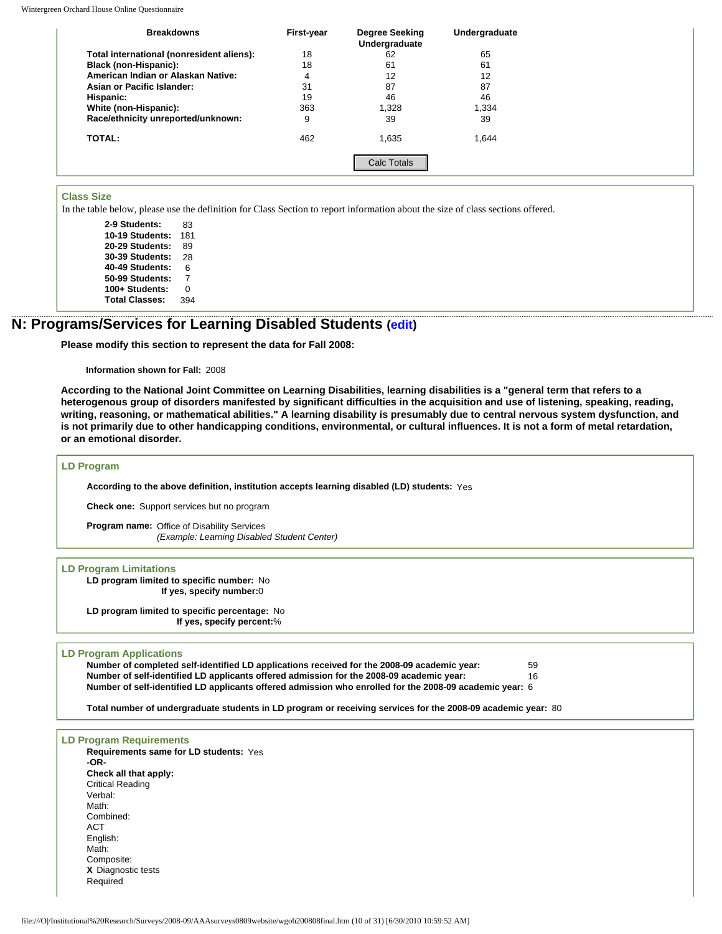#### Wintergreen Orchard House Online Questionnaire

| <b>Breakdowns</b>                         | First-year | Degree Seeking<br>Undergraduate | Undergraduate |  |
|-------------------------------------------|------------|---------------------------------|---------------|--|
| Total international (nonresident aliens): | 18         | 62                              | 65            |  |
| Black (non-Hispanic):                     | 18         | 61                              | 61            |  |
| American Indian or Alaskan Native:        | 4          | 12                              | 12            |  |
| Asian or Pacific Islander:                | 31         | 87                              | 87            |  |
| Hispanic:                                 | 19         | 46                              | 46            |  |
| White (non-Hispanic):                     | 363        | 1.328                           | 1,334         |  |
| Race/ethnicity unreported/unknown:        | 9          | 39                              | 39            |  |
| TOTAL:                                    | 462        | 1,635                           | 1.644         |  |
|                                           |            | <b>Calc Totals</b>              |               |  |

## **Class Size**

In the table below, please use the definition for Class Section to report information about the size of class sections offered.

**2-9 Students:** 83 **10-19 Students:** 181 **20-29 Students:** 89 **30-39 Students:** 28 **40-49 Students:** 6 **50-99 Students:** 7 **100+ Students:** 0 **Total Classes:** 

## **N: Programs/Services for Learning Disabled Students ([edit](http://survey.wgoh.com/secure/sectionNView.htm))**

**Please modify this section to represent the data for Fall 2008:** 

**Information shown for Fall:** 2008

**According to the National Joint Committee on Learning Disabilities, learning disabilities is a "general term that refers to a heterogenous group of disorders manifested by significant difficulties in the acquisition and use of listening, speaking, reading, writing, reasoning, or mathematical abilities." A learning disability is presumably due to central nervous system dysfunction, and is not primarily due to other handicapping conditions, environmental, or cultural influences. It is not a form of metal retardation, or an emotional disorder.** 

## **LD Program**

**According to the above definition, institution accepts learning disabled (LD) students:** Yes

**Check one:** Support services but no program

**Program name:** Office of Disability Services *(Example: Learning Disabled Student Center)*

#### **LD Program Limitations**

**LD program limited to specific number:** No **If yes, specify number:**0

**LD program limited to specific percentage:** No **If yes, specify percent:**%

## **LD Program Applications**

**Number of completed self-identified LD applications received for the 2008-09 academic year:** 59 **Number of self-identified LD applicants offered admission for the 2008-09 academic year:** 16 **Number of self-identified LD applicants offered admission who enrolled for the 2008-09 academic year:** 6

**Total number of undergraduate students in LD program or receiving services for the 2008-09 academic year:** 80

### **LD Program Requirements**

Required

**Requirements same for LD students:** Yes **-OR-Check all that apply:** Critical Reading Verbal: Math: Combined: ACT English: Math: Composite: **X** Diagnostic tests Calc Team Size<br>
In the table balow, please us the definition for Class Section to report information about the size of<br>
2008-09 Maximums 20<br>
2009-09 Maximums 2<br>
2009-09 Maximums 2<br>
2009-09 Maximums 2<br>
2009-09 Maximums 2<br>
2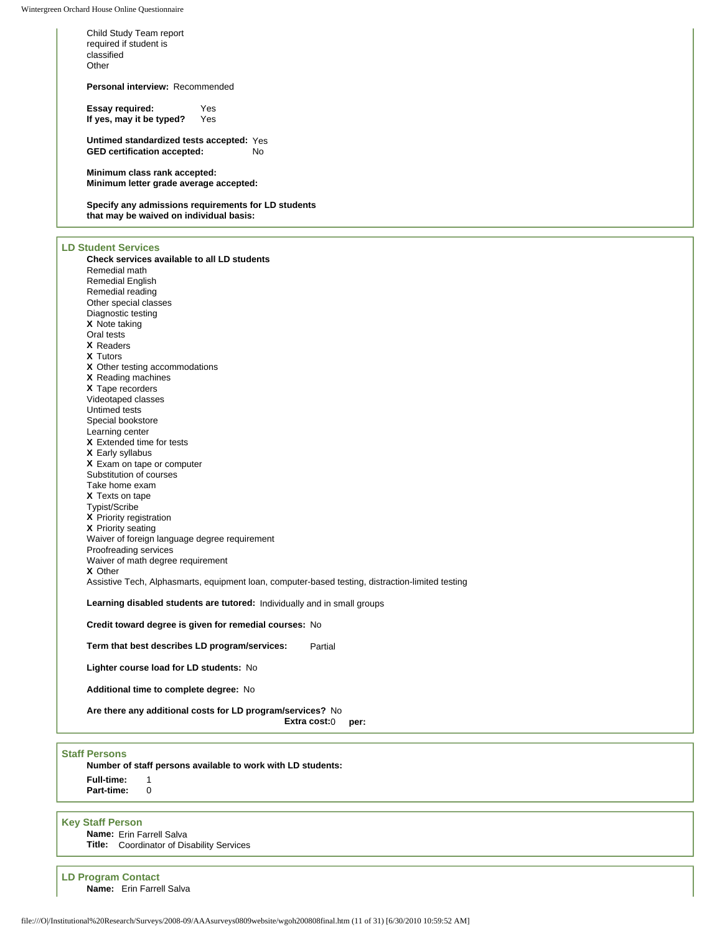Child Study Team report required if student is classified Other

**Personal interview:** Recommended

**Essay required:** Yes<br>If yes, may it be typed? Yes **If yes, may it be typed?** 

**Untimed standardized tests accepted:** Yes **GED certification accepted:** No

**Minimum class rank accepted: Minimum letter grade average accepted:**

**Specify any admissions requirements for LD students that may be waived on individual basis:** 

## **LD Student Services**

**Check services available to all LD students** Remedial math Remedial English Remedial reading Other special classes Diagnostic testing **X** Note taking Oral tests **X** Readers **X** Tutors **X** Other testing accommodations **X** Reading machines **X** Tape recorders Videotaped classes Untimed tests Special bookstore Learning center **X** Extended time for tests **X** Early syllabus **X** Exam on tape or computer Substitution of courses Take home exam **X** Texts on tape Typist/Scribe **X** Priority registration **X** Priority seating Waiver of foreign language degree requirement Proofreading services Waiver of math degree requirement **X** Other Assistive Tech, Alphasmarts, equipment loan, computer-based testing, distraction-limited testing **Learning disabled students are tutored:** Individually and in small groups **Credit toward degree is given for remedial courses:** No

**Term that best describes LD program/services:** Partial

**Lighter course load for LD students:** No

**Additional time to complete degree:** No

**Are there any additional costs for LD program/services?** No

**Extra cost:**0 **per:**

## **Staff Persons**

**Number of staff persons available to work with LD students:**

**Full-time:** 1 **Part-time:** 0

**Key Staff Person**

**Name:** Erin Farrell Salva **Title:** Coordinator of Disability Services

**LD Program Contact Name:** Erin Farrell Salva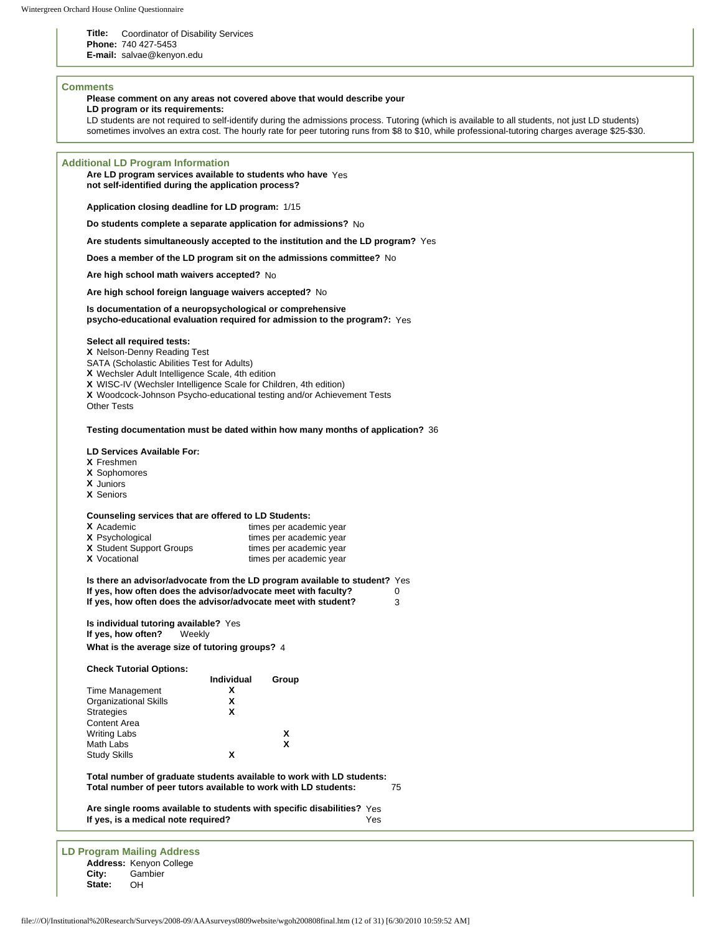**Title:** Coordinator of Disability Services **Phone:** 740 427-5453

**E-mail:** salvae@kenyon.edu

#### **Comments**

## **Please comment on any areas not covered above that would describe your**

**LD program or its requirements:** 

LD students are not required to self-identify during the admissions process. Tutoring (which is available to all students, not just LD students) sometimes involves an extra cost. The hourly rate for peer tutoring runs from \$8 to \$10, while professional-tutoring charges average \$25-\$30.

## **Additional LD Program Information**

**Are LD program services available to students who have**  Yes **not self-identified during the application process?**

**Application closing deadline for LD program:** 1/15

**Do students complete a separate application for admissions?** No

**Are students simultaneously accepted to the institution and the LD program?** Yes

**Does a member of the LD program sit on the admissions committee?** No

**Are high school math waivers accepted?** No

**Are high school foreign language waivers accepted?** No

**Is documentation of a neuropsychological or comprehensive psycho-educational evaluation required for admission to the program?:** Yes

#### **Select all required tests:**

**X** Nelson-Denny Reading Test SATA (Scholastic Abilities Test for Adults) **X** Wechsler Adult Intelligence Scale, 4th edition **X** WISC-IV (Wechsler Intelligence Scale for Children, 4th edition) **X** Woodcock-Johnson Psycho-educational testing and/or Achievement Tests Other Tests

| Testing documentation must be dated within how many months of application? 36                                                                  |                                                                                      |  |  |  |
|------------------------------------------------------------------------------------------------------------------------------------------------|--------------------------------------------------------------------------------------|--|--|--|
| LD Services Available For:<br>X Freshmen<br>X Sophomores<br>X Juniors<br>X Seniors                                                             |                                                                                      |  |  |  |
| Counseling services that are offered to LD Students:                                                                                           |                                                                                      |  |  |  |
| X Academic                                                                                                                                     | times per academic year                                                              |  |  |  |
| X Psychological                                                                                                                                | times per academic year                                                              |  |  |  |
| X Student Support Groups                                                                                                                       | times per academic year                                                              |  |  |  |
| <b>X</b> Vocational                                                                                                                            | times per academic year                                                              |  |  |  |
| If yes, how often does the advisor/advocate meet with faculty?<br>If yes, how often does the advisor/advocate meet with student?               | Is there an advisor/advocate from the LD program available to student? Yes<br>0<br>3 |  |  |  |
| Is individual tutoring available? Yes<br>If yes, how often?<br>Weekly<br>What is the average size of tutoring groups? 4                        |                                                                                      |  |  |  |
| <b>Check Tutorial Options:</b>                                                                                                                 |                                                                                      |  |  |  |
| Individual                                                                                                                                     | Group                                                                                |  |  |  |
| x<br><b>Time Management</b>                                                                                                                    |                                                                                      |  |  |  |
| <b>Organizational Skills</b><br>x                                                                                                              |                                                                                      |  |  |  |
| <b>Strategies</b><br>x                                                                                                                         |                                                                                      |  |  |  |
| <b>Content Area</b><br><b>Writing Labs</b>                                                                                                     | X                                                                                    |  |  |  |
| Math Labs                                                                                                                                      | X                                                                                    |  |  |  |
| X<br><b>Study Skills</b>                                                                                                                       |                                                                                      |  |  |  |
|                                                                                                                                                |                                                                                      |  |  |  |
| Total number of graduate students available to work with LD students:<br>Total number of peer tutors available to work with LD students:<br>75 |                                                                                      |  |  |  |
| Are single rooms available to students with specific disabilities? Yes                                                                         |                                                                                      |  |  |  |
| If yes, is a medical note required?                                                                                                            | Yes                                                                                  |  |  |  |
|                                                                                                                                                |                                                                                      |  |  |  |
|                                                                                                                                                |                                                                                      |  |  |  |

**LD Program Mailing Address** Address: Kenyon College<br>City: Gambier Gambier **State:** OH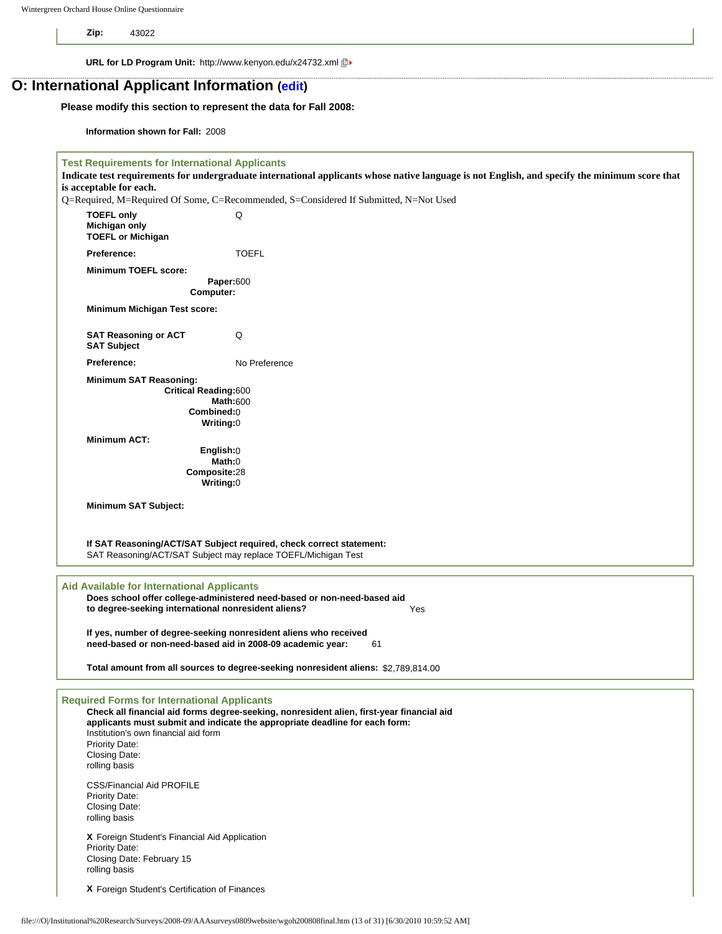**Zip:** 43022

**URL for LD Program Unit:** http://www.kenyon.edu/x24732.xml

## **O: International Applicant Information ([edit](http://survey.wgoh.com/secure/sectionOView.htm))**

**Please modify this section to represent the data for Fall 2008:** 

**Information shown for Fall:** 2008

| <b>Test Requirements for International Applicants</b>                                                                                                                                                                                                                                                                                                                                                                                                                                                                                                    |                                                                                                                                                |  |
|----------------------------------------------------------------------------------------------------------------------------------------------------------------------------------------------------------------------------------------------------------------------------------------------------------------------------------------------------------------------------------------------------------------------------------------------------------------------------------------------------------------------------------------------------------|------------------------------------------------------------------------------------------------------------------------------------------------|--|
|                                                                                                                                                                                                                                                                                                                                                                                                                                                                                                                                                          | Indicate test requirements for undergraduate international applicants whose native language is not English, and specify the minimum score that |  |
| is acceptable for each.                                                                                                                                                                                                                                                                                                                                                                                                                                                                                                                                  | Q=Required, M=Required Of Some, C=Recommended, S=Considered If Submitted, N=Not Used                                                           |  |
| <b>TOEFL only</b>                                                                                                                                                                                                                                                                                                                                                                                                                                                                                                                                        | Q                                                                                                                                              |  |
| Michigan only<br><b>TOEFL or Michigan</b>                                                                                                                                                                                                                                                                                                                                                                                                                                                                                                                |                                                                                                                                                |  |
| <b>Preference:</b>                                                                                                                                                                                                                                                                                                                                                                                                                                                                                                                                       | <b>TOEFL</b>                                                                                                                                   |  |
| <b>Minimum TOEFL score:</b>                                                                                                                                                                                                                                                                                                                                                                                                                                                                                                                              |                                                                                                                                                |  |
|                                                                                                                                                                                                                                                                                                                                                                                                                                                                                                                                                          | Paper:600                                                                                                                                      |  |
| Minimum Michigan Test score:                                                                                                                                                                                                                                                                                                                                                                                                                                                                                                                             | Computer:                                                                                                                                      |  |
|                                                                                                                                                                                                                                                                                                                                                                                                                                                                                                                                                          |                                                                                                                                                |  |
| <b>SAT Reasoning or ACT</b><br><b>SAT Subject</b>                                                                                                                                                                                                                                                                                                                                                                                                                                                                                                        | Q                                                                                                                                              |  |
| Preference:                                                                                                                                                                                                                                                                                                                                                                                                                                                                                                                                              | No Preference                                                                                                                                  |  |
| <b>Minimum SAT Reasoning:</b>                                                                                                                                                                                                                                                                                                                                                                                                                                                                                                                            |                                                                                                                                                |  |
|                                                                                                                                                                                                                                                                                                                                                                                                                                                                                                                                                          | <b>Critical Reading:600</b><br><b>Math:600</b>                                                                                                 |  |
|                                                                                                                                                                                                                                                                                                                                                                                                                                                                                                                                                          | Combined:0<br>Writing:0                                                                                                                        |  |
| <b>Minimum ACT:</b>                                                                                                                                                                                                                                                                                                                                                                                                                                                                                                                                      |                                                                                                                                                |  |
|                                                                                                                                                                                                                                                                                                                                                                                                                                                                                                                                                          | English:0                                                                                                                                      |  |
|                                                                                                                                                                                                                                                                                                                                                                                                                                                                                                                                                          | Math:0<br>Composite:28                                                                                                                         |  |
|                                                                                                                                                                                                                                                                                                                                                                                                                                                                                                                                                          | Writing:0                                                                                                                                      |  |
| <b>Minimum SAT Subject:</b>                                                                                                                                                                                                                                                                                                                                                                                                                                                                                                                              |                                                                                                                                                |  |
|                                                                                                                                                                                                                                                                                                                                                                                                                                                                                                                                                          |                                                                                                                                                |  |
|                                                                                                                                                                                                                                                                                                                                                                                                                                                                                                                                                          | If SAT Reasoning/ACT/SAT Subject required, check correct statement:<br>SAT Reasoning/ACT/SAT Subject may replace TOEFL/Michigan Test           |  |
| <b>Aid Available for International Applicants</b>                                                                                                                                                                                                                                                                                                                                                                                                                                                                                                        | Does school offer college-administered need-based or non-need-based aid<br>to degree-seeking international nonresident aliens?<br>Yes          |  |
|                                                                                                                                                                                                                                                                                                                                                                                                                                                                                                                                                          |                                                                                                                                                |  |
|                                                                                                                                                                                                                                                                                                                                                                                                                                                                                                                                                          | If yes, number of degree-seeking nonresident aliens who received<br>need-based or non-need-based aid in 2008-09 academic year:<br>61           |  |
|                                                                                                                                                                                                                                                                                                                                                                                                                                                                                                                                                          | Total amount from all sources to degree-seeking nonresident aliens: \$2,789,814.00                                                             |  |
| <b>Required Forms for International Applicants</b><br>Check all financial aid forms degree-seeking, nonresident alien, first-year financial aid<br>applicants must submit and indicate the appropriate deadline for each form:<br>Institution's own financial aid form<br><b>Priority Date:</b><br>Closing Date:<br>rolling basis<br><b>CSS/Financial Aid PROFILE</b><br><b>Priority Date:</b><br>Closing Date:<br>rolling basis<br>X Foreign Student's Financial Aid Application<br><b>Priority Date:</b><br>Closing Date: February 15<br>rolling basis |                                                                                                                                                |  |
| X Foreign Student's Certification of Finances                                                                                                                                                                                                                                                                                                                                                                                                                                                                                                            |                                                                                                                                                |  |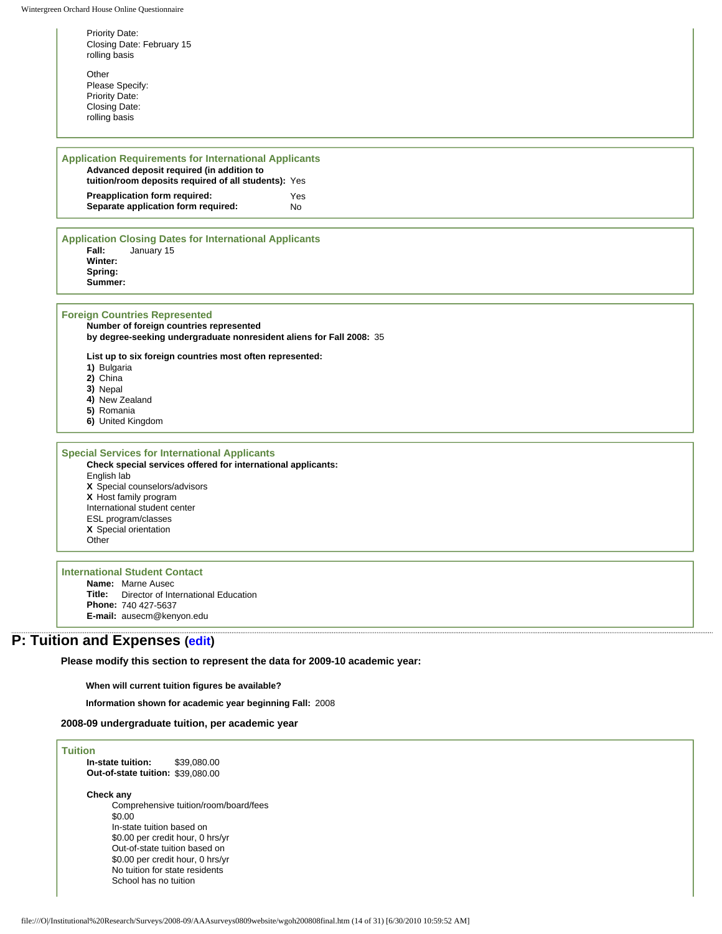Priority Date: Closing Date: February 15 rolling basis

**Other** Please Specify: Priority Date: Closing Date: rolling basis

## **Application Requirements for International Applicants Advanced deposit required (in addition to tuition/room deposits required of all students):** Yes

**Preapplication form required:** Yes **Separate application form required:** No

**Application Closing Dates for International Applicants** January 15 **Winter: Spring: Summer:**

## **Foreign Countries Represented**

**Number of foreign countries represented by degree-seeking undergraduate nonresident aliens for Fall 2008:** 35

**List up to six foreign countries most often represented:**

- **1)** Bulgaria
- **2)** China
- **3)** Nepal
- **4)** New Zealand
- **5)** Romania
- **6)** United Kingdom

**Special Services for International Applicants Check special services offered for international applicants:** English lab **X** Special counselors/advisors **X** Host family program International student center ESL program/classes **X** Special orientation **Other** 

**International Student Contact Name:** Marne Ausec **Title:** Director of International Education **Phone:** 740 427-5637 **E-mail:** ausecm@kenyon.edu

## **P: Tuition and Expenses [\(edit\)](http://survey.wgoh.com/secure/sectionPView.htm)**

**Please modify this section to represent the data for 2009-10 academic year:** 

**When will current tuition figures be available?**

**Information shown for academic year beginning Fall:** 2008

**2008-09 undergraduate tuition, per academic year** 

#### **Tuition**

**In-state tuition:** \$39,080.00 **Out-of-state tuition:** \$39,080.00

**Check any**

Comprehensive tuition/room/board/fees \$0.00 In-state tuition based on \$0.00 per credit hour, 0 hrs/yr Out-of-state tuition based on \$0.00 per credit hour, 0 hrs/yr No tuition for state residents School has no tuition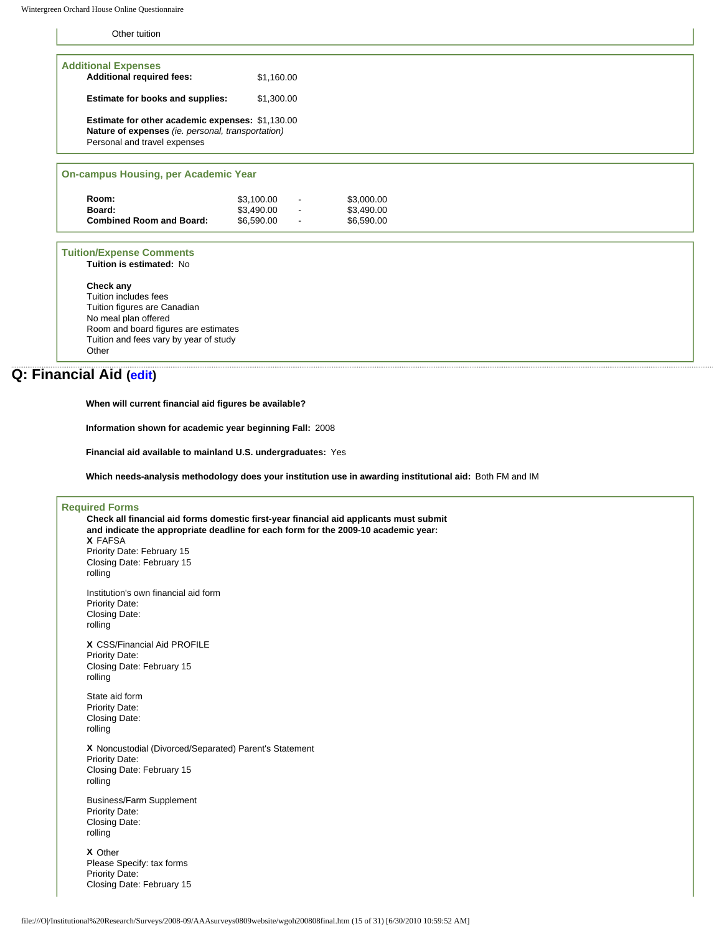| Other tuition |  |
|---------------|--|
|---------------|--|

| <b>Additional Expenses</b>                                                                                                                   |            |  |  |  |  |  |
|----------------------------------------------------------------------------------------------------------------------------------------------|------------|--|--|--|--|--|
| <b>Additional required fees:</b>                                                                                                             | \$1,160.00 |  |  |  |  |  |
| <b>Estimate for books and supplies:</b>                                                                                                      | \$1,300,00 |  |  |  |  |  |
| <b>Estimate for other academic expenses: \$1,130.00</b><br>Nature of expenses (ie. personal, transportation)<br>Personal and travel expenses |            |  |  |  |  |  |
| <b>On-campus Housing, per Academic Year</b>                                                                                                  |            |  |  |  |  |  |

| \$3.100.00 | $\overline{\phantom{a}}$ | \$3,000.00 |
|------------|--------------------------|------------|
| \$3,490.00 | $\overline{\phantom{a}}$ | \$3,490.00 |
| \$6,590.00 | $\overline{\phantom{a}}$ | \$6,590,00 |
|            |                          |            |

## **Tuition/Expense Comments**

**Tuition is estimated:** No

**Check any** Tuition includes fees Tuition figures are Canadian No meal plan offered Room and board figures are estimates

Tuition and fees vary by year of study **Other** 

## **Q: Financial Aid ([edit](http://survey.wgoh.com/secure/sectionQView.htm))**

**When will current financial aid figures be available?**

**Information shown for academic year beginning Fall:** 2008

**Financial aid available to mainland U.S. undergraduates:** Yes

**Which needs-analysis methodology does your institution use in awarding institutional aid:** Both FM and IM

## **Required Forms**

**Check all financial aid forms domestic first-year financial aid applicants must submit and indicate the appropriate deadline for each form for the 2009-10 academic year: X** FAFSA Priority Date: February 15 Closing Date: February 15 rolling Institution's own financial aid form Priority Date: Closing Date: rolling **X** CSS/Financial Aid PROFILE Priority Date: Closing Date: February 15 rolling State aid form Priority Date: Closing Date: rolling **X** Noncustodial (Divorced/Separated) Parent's Statement Priority Date: Closing Date: February 15 rolling Business/Farm Supplement Priority Date: Closing Date: rolling **X** Other Please Specify: tax forms Priority Date: Closing Date: February 15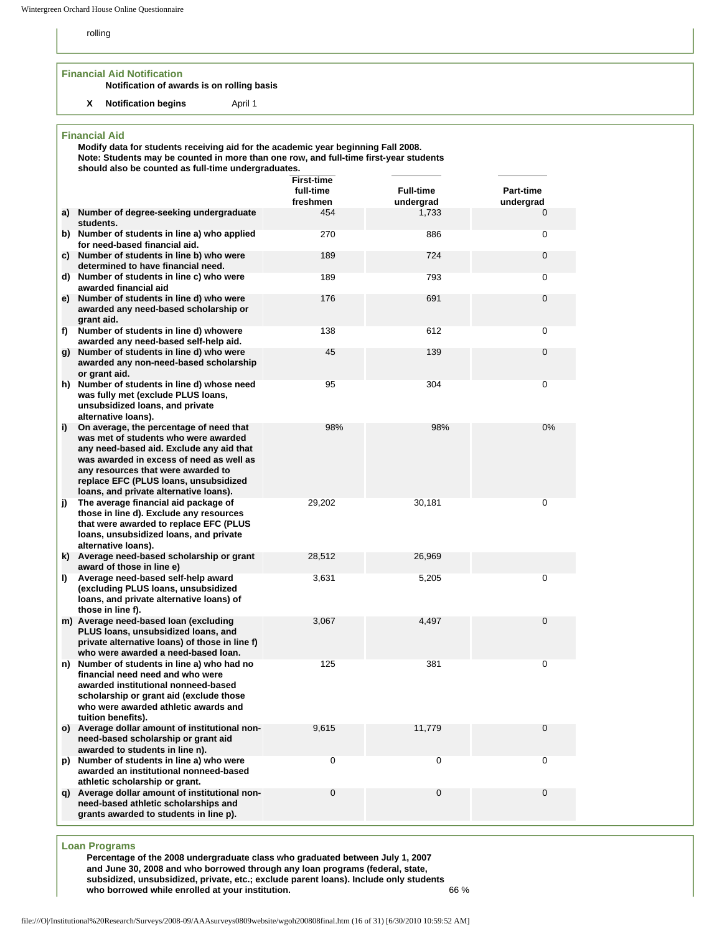rolling

### **Financial Aid Notification**

**Notification of awards is on rolling basis**

**X** Notification begins **April 1** 

**Financial Aid**

**Modify data for students receiving aid for the academic year beginning Fall 2008. Note: Students may be counted in more than one row, and full-time first-year students should also be counted as full-time undergraduates. First-time full-time freshmen Full-time**  undergrad<br>1.733 **Part-time undergrad a) Number of degree-seeking undergraduate students.** 454 1,733 0 **b) Number of students in line a) who applied for need-based financial aid.** 270 886 0 **c) Number of students in line b) who were determined to have financial need.** 189 724 0 **d) Number of students in line c) who were awarded financial aid** 189 793 0 **e) Number of students in line d) who were awarded any need-based scholarship or grant aid.** 176 691 0 **f) Number of students in line d) whowere awarded any need-based self-help aid.** 138 612 0 **g) Number of students in line d) who were awarded any non-need-based scholarship or grant aid.** 45 139 0 **h) Number of students in line d) whose need was fully met (exclude PLUS loans, unsubsidized loans, and private alternative loans).** 95 304 0 **i) On average, the percentage of need that was met of students who were awarded any need-based aid. Exclude any aid that was awarded in excess of need as well as any resources that were awarded to replace EFC (PLUS loans, unsubsidized loans, and private alternative loans).** 98 % 98 % 0 % **j) The average financial aid package of those in line d). Exclude any resources that were awarded to replace EFC (PLUS loans, unsubsidized loans, and private alternative loans).** 29,202 30,181 0 **k) Average need-based scholarship or grant award of those in line e)** 28,512 26,969 **l) Average need-based self-help award (excluding PLUS loans, unsubsidized loans, and private alternative loans) of those in line f).** 3,631 5,205 0 **m) Average need-based loan (excluding PLUS loans, unsubsidized loans, and private alternative loans) of those in line f) who were awarded a need-based loan.** 3,067 4,497 0 **n) Number of students in line a) who had no financial need need and who were awarded institutional nonneed-based scholarship or grant aid (exclude those who were awarded athletic awards and tuition benefits).** 125 381 0 **o) Average dollar amount of institutional nonneed-based scholarship or grant aid awarded to students in line n).** 9,615 11,779 0 **p) Number of students in line a) who were awarded an institutional nonneed-based athletic scholarship or grant.** 0 0 0 **q) Average dollar amount of institutional nonneed-based athletic scholarships and grants awarded to students in line p).** 0 0 0

#### **Loan Programs**

**Percentage of the 2008 undergraduate class who graduated between July 1, 2007 and June 30, 2008 and who borrowed through any loan programs (federal, state, subsidized, unsubsidized, private, etc.; exclude parent loans). Include only students who borrowed while enrolled at your institution.** 66 %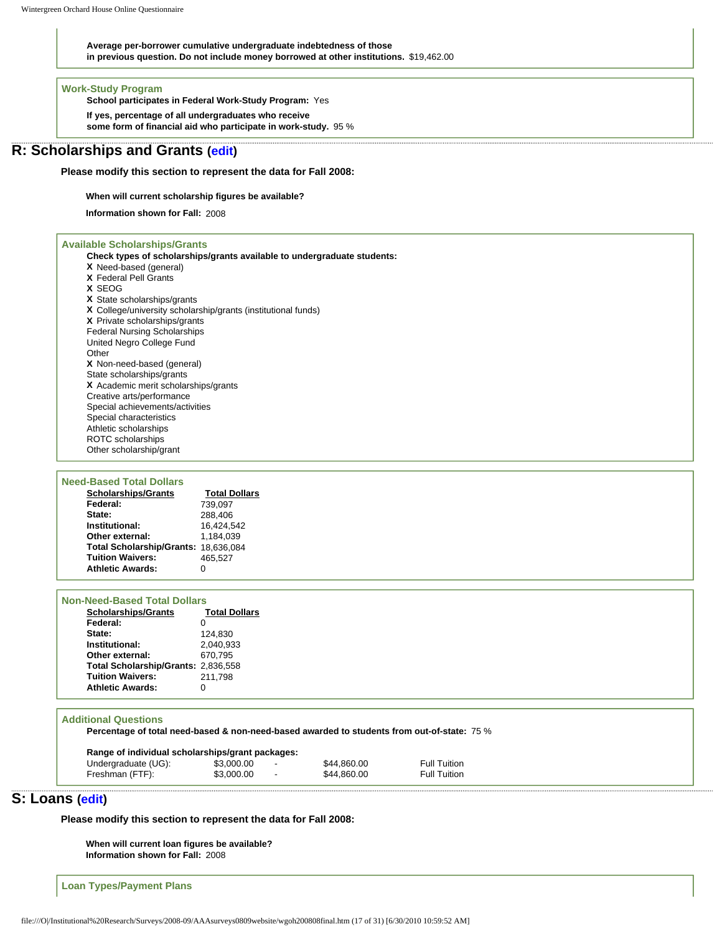**Average per-borrower cumulative undergraduate indebtedness of those in previous question. Do not include money borrowed at other institutions.** \$19,462.00

## **Work-Study Program**

**School participates in Federal Work-Study Program:** Yes

**If yes, percentage of all undergraduates who receive some form of financial aid who participate in work-study.** 95 %

## **R: Scholarships and Grants [\(edit\)](http://survey.wgoh.com/secure/sectionRView.htm)**

**Please modify this section to represent the data for Fall 2008:** 

**When will current scholarship figures be available?**

**Information shown for Fall:** 2008

## **Available Scholarships/Grants**

**Check types of scholarships/grants available to undergraduate students:**

- **X** Need-based (general)
- **X** Federal Pell Grants
- **X** SEOG
- **X** State scholarships/grants
- **X** College/university scholarship/grants (institutional funds)
- **X** Private scholarships/grants
- Federal Nursing Scholarships United Negro College Fund
- **Other**
- 
- **X** Non-need-based (general) State scholarships/grants
- **X** Academic merit scholarships/grants
- Creative arts/performance
- Special achievements/activities
- Special characteristics
- Athletic scholarships ROTC scholarships
- Other scholarship/grant

| <b>Need-Based Total Dollars</b>      |                      |
|--------------------------------------|----------------------|
| <b>Scholarships/Grants</b>           | <b>Total Dollars</b> |
| Federal:                             | 739,097              |
| State:                               | 288,406              |
| Institutional:                       | 16.424.542           |
| Other external:                      | 1.184.039            |
| Total Scholarship/Grants: 18.636.084 |                      |
| <b>Tuition Waivers:</b>              | 465.527              |
| <b>Athletic Awards:</b>              | 0                    |
|                                      |                      |

## **Non-Need-Based Total Dollars**

| <b>Scholarships/Grants</b>          | <b>Total Dollars</b> |
|-------------------------------------|----------------------|
| Federal:                            | O                    |
| State:                              | 124.830              |
| Institutional:                      | 2.040.933            |
| Other external:                     | 670.795              |
| Total Scholarship/Grants: 2,836,558 |                      |
| <b>Tuition Waivers:</b>             | 211.798              |
| <b>Athletic Awards:</b>             | 0                    |
|                                     |                      |

## **Additional Questions**

**Percentage of total need-based & non-need-based awarded to students from out-of-state:** 75 %

| Range of individual scholarships/grant packages: |            |        |             |                     |
|--------------------------------------------------|------------|--------|-------------|---------------------|
| Undergraduate (UG):                              | \$3,000.00 | $\sim$ | \$44,860,00 | <b>Full Tuition</b> |
| Freshman (FTF):                                  | \$3,000.00 | $\sim$ | \$44,860,00 | Full Tuition        |

## **S: Loans ([edit](http://survey.wgoh.com/secure/sectionSView.htm))**

**Please modify this section to represent the data for Fall 2008:** 

**When will current loan figures be available? Information shown for Fall:** 2008

**Loan Types/Payment Plans**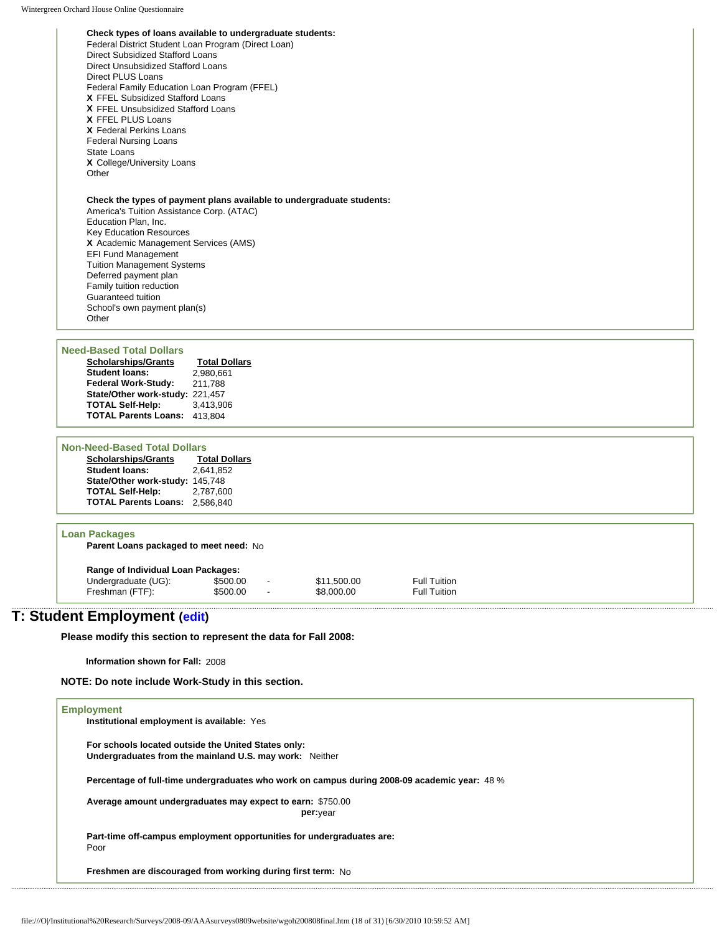| Check types of loans available to undergraduate students:             |
|-----------------------------------------------------------------------|
| Federal District Student Loan Program (Direct Loan)                   |
|                                                                       |
| <b>Direct Subsidized Stafford Loans</b>                               |
| Direct Unsubsidized Stafford Loans                                    |
| <b>Direct PLUS Loans</b>                                              |
| Federal Family Education Loan Program (FFEL)                          |
| X FFEL Subsidized Stafford Loans                                      |
| X FFEL Unsubsidized Stafford Loans                                    |
| X FFEL PLUS Loans                                                     |
| <b>X</b> Federal Perkins Loans                                        |
| <b>Federal Nursing Loans</b>                                          |
| <b>State Loans</b>                                                    |
| X College/University Loans                                            |
| Other                                                                 |
|                                                                       |
|                                                                       |
| Check the types of payment plans available to undergraduate students: |
| America's Tuition Assistance Corp. (ATAC)                             |
| Education Plan, Inc.                                                  |
| <b>Key Education Resources</b>                                        |
| X Academic Management Services (AMS)                                  |
| <b>EFI Fund Management</b>                                            |
|                                                                       |
| <b>Tuition Management Systems</b>                                     |
| Deferred payment plan                                                 |
| Family tuition reduction                                              |
| Guaranteed tuition                                                    |
| School's own payment plan(s)                                          |
| Other                                                                 |
|                                                                       |
|                                                                       |
| <b>Need-Based Total Dollars</b>                                       |
| <b>Scholarships/Grants</b><br><b>Total Dollars</b>                    |
| <b>Student loans:</b><br>2,980,661                                    |
| <b>Federal Work-Study:</b><br>211,788                                 |
| State/Other work-study: 221,457                                       |
| <b>TOTAL Self-Help:</b><br>3,413,906                                  |
| TOTAL Parents Loans: 413,804                                          |
|                                                                       |
|                                                                       |
| <b>Non-Need-Based Total Dollars</b>                                   |
| <b>Scholarships/Grants</b><br><b>Total Dollars</b>                    |
| <b>Student loans:</b><br>2,641,852                                    |
| State/Other work-study: 145,748                                       |
| <b>TOTAL Self-Help:</b><br>2,787,600                                  |
| TOTAL Parents Loans: 2,586,840                                        |
|                                                                       |
|                                                                       |
| <b>Loan Packages</b>                                                  |

**Parent Loans packaged to meet need:** No

| Range of Individual Loan Packages: |          |        |             |                     |
|------------------------------------|----------|--------|-------------|---------------------|
| Undergraduate (UG):                | \$500.00 | $\sim$ | \$11.500.00 | <b>Full Tuition</b> |
| Freshman (FTF):                    | \$500.00 | $\sim$ | \$8,000,00  | <b>Full Tuition</b> |

## **T: Student Employment [\(edit\)](http://survey.wgoh.com/secure/sectionTView.htm)**

**Please modify this section to represent the data for Fall 2008:** 

**Information shown for Fall:** 2008

**NOTE: Do note include Work-Study in this section.** 

| <b>Employment</b><br>Institutional employment is available: Yes                                                |
|----------------------------------------------------------------------------------------------------------------|
| For schools located outside the United States only:<br>Undergraduates from the mainland U.S. may work: Neither |
| Percentage of full-time undergraduates who work on campus during 2008-09 academic year: 48 %                   |
| Average amount undergraduates may expect to earn: \$750.00<br>per: <sub>vear</sub>                             |
| Part-time off-campus employment opportunities for undergraduates are:<br>Poor                                  |
| Freshmen are discouraged from working during first term: No                                                    |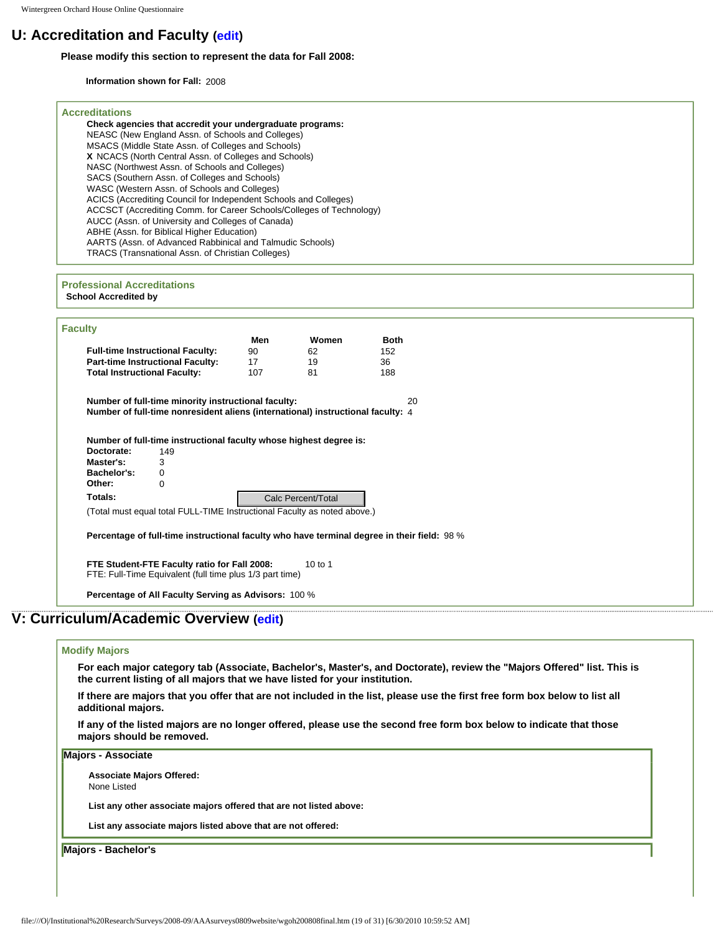## **U: Accreditation and Faculty [\(edit\)](http://survey.wgoh.com/secure/sectionUView.htm)**

## **Please modify this section to represent the data for Fall 2008:**

**Information shown for Fall:** 2008

| Check agencies that accredit your undergraduate programs:<br>NEASC (New England Assn. of Schools and Colleges)<br>MSACS (Middle State Assn. of Colleges and Schools)<br>X NCACS (North Central Assn. of Colleges and Schools)<br>NASC (Northwest Assn. of Schools and Colleges)<br>SACS (Southern Assn. of Colleges and Schools)<br>WASC (Western Assn. of Schools and Colleges)<br>ACICS (Accrediting Council for Independent Schools and Colleges)<br>ACCSCT (Accrediting Comm. for Career Schools/Colleges of Technology)<br>AUCC (Assn. of University and Colleges of Canada)<br>ABHE (Assn. for Biblical Higher Education)<br>AARTS (Assn. of Advanced Rabbinical and Talmudic Schools)<br>TRACS (Transnational Assn. of Christian Colleges) |           |                    |                                                                                                                            |  |
|---------------------------------------------------------------------------------------------------------------------------------------------------------------------------------------------------------------------------------------------------------------------------------------------------------------------------------------------------------------------------------------------------------------------------------------------------------------------------------------------------------------------------------------------------------------------------------------------------------------------------------------------------------------------------------------------------------------------------------------------------|-----------|--------------------|----------------------------------------------------------------------------------------------------------------------------|--|
| <b>Professional Accreditations</b><br><b>School Accredited by</b>                                                                                                                                                                                                                                                                                                                                                                                                                                                                                                                                                                                                                                                                                 |           |                    |                                                                                                                            |  |
| <b>Faculty</b>                                                                                                                                                                                                                                                                                                                                                                                                                                                                                                                                                                                                                                                                                                                                    |           | Women              |                                                                                                                            |  |
| <b>Full-time Instructional Faculty:</b>                                                                                                                                                                                                                                                                                                                                                                                                                                                                                                                                                                                                                                                                                                           | Men<br>90 | 62                 | <b>Both</b><br>152                                                                                                         |  |
| <b>Part-time Instructional Faculty:</b>                                                                                                                                                                                                                                                                                                                                                                                                                                                                                                                                                                                                                                                                                                           | 17        | 19                 | 36                                                                                                                         |  |
| <b>Total Instructional Faculty:</b>                                                                                                                                                                                                                                                                                                                                                                                                                                                                                                                                                                                                                                                                                                               | 107       | 81                 | 188                                                                                                                        |  |
| Number of full-time minority instructional faculty:<br>Number of full-time nonresident aliens (international) instructional faculty: 4                                                                                                                                                                                                                                                                                                                                                                                                                                                                                                                                                                                                            |           |                    | 20                                                                                                                         |  |
| Number of full-time instructional faculty whose highest degree is:                                                                                                                                                                                                                                                                                                                                                                                                                                                                                                                                                                                                                                                                                |           |                    |                                                                                                                            |  |
| Doctorate:<br>149                                                                                                                                                                                                                                                                                                                                                                                                                                                                                                                                                                                                                                                                                                                                 |           |                    |                                                                                                                            |  |
| Master's:<br>3                                                                                                                                                                                                                                                                                                                                                                                                                                                                                                                                                                                                                                                                                                                                    |           |                    |                                                                                                                            |  |
| Bachelor's:<br>0                                                                                                                                                                                                                                                                                                                                                                                                                                                                                                                                                                                                                                                                                                                                  |           |                    |                                                                                                                            |  |
| Other:<br>0                                                                                                                                                                                                                                                                                                                                                                                                                                                                                                                                                                                                                                                                                                                                       |           |                    |                                                                                                                            |  |
| Totals:                                                                                                                                                                                                                                                                                                                                                                                                                                                                                                                                                                                                                                                                                                                                           |           | Calc Percent/Total |                                                                                                                            |  |
| (Total must equal total FULL-TIME Instructional Faculty as noted above.)                                                                                                                                                                                                                                                                                                                                                                                                                                                                                                                                                                                                                                                                          |           |                    |                                                                                                                            |  |
| Percentage of full-time instructional faculty who have terminal degree in their field: 98 %                                                                                                                                                                                                                                                                                                                                                                                                                                                                                                                                                                                                                                                       |           |                    |                                                                                                                            |  |
| FTE Student-FTE Faculty ratio for Fall 2008:<br>FTE: Full-Time Equivalent (full time plus 1/3 part time)                                                                                                                                                                                                                                                                                                                                                                                                                                                                                                                                                                                                                                          |           | 10 to 1            |                                                                                                                            |  |
| Percentage of All Faculty Serving as Advisors: 100 %                                                                                                                                                                                                                                                                                                                                                                                                                                                                                                                                                                                                                                                                                              |           |                    |                                                                                                                            |  |
| V: Curriculum/Academic Overview (edit)                                                                                                                                                                                                                                                                                                                                                                                                                                                                                                                                                                                                                                                                                                            |           |                    |                                                                                                                            |  |
| <b>Modify Majors</b>                                                                                                                                                                                                                                                                                                                                                                                                                                                                                                                                                                                                                                                                                                                              |           |                    |                                                                                                                            |  |
| the current listing of all majors that we have listed for your institution.                                                                                                                                                                                                                                                                                                                                                                                                                                                                                                                                                                                                                                                                       |           |                    | For each major category tab (Associate, Bachelor's, Master's, and Doctorate), review the "Majors Offered" list. This is    |  |
| additional majors.                                                                                                                                                                                                                                                                                                                                                                                                                                                                                                                                                                                                                                                                                                                                |           |                    | If there are majors that you offer that are not included in the list, please use the first free form box below to list all |  |
| majors should be removed.                                                                                                                                                                                                                                                                                                                                                                                                                                                                                                                                                                                                                                                                                                                         |           |                    | If any of the listed majors are no longer offered, please use the second free form box below to indicate that those        |  |
| <b>Majors - Associate</b>                                                                                                                                                                                                                                                                                                                                                                                                                                                                                                                                                                                                                                                                                                                         |           |                    |                                                                                                                            |  |
|                                                                                                                                                                                                                                                                                                                                                                                                                                                                                                                                                                                                                                                                                                                                                   |           |                    |                                                                                                                            |  |
| <b>Associate Majors Offered:</b><br>None Listed                                                                                                                                                                                                                                                                                                                                                                                                                                                                                                                                                                                                                                                                                                   |           |                    |                                                                                                                            |  |
| List any other associate majors offered that are not listed above:                                                                                                                                                                                                                                                                                                                                                                                                                                                                                                                                                                                                                                                                                |           |                    |                                                                                                                            |  |
| List any associate majors listed above that are not offered:                                                                                                                                                                                                                                                                                                                                                                                                                                                                                                                                                                                                                                                                                      |           |                    |                                                                                                                            |  |
|                                                                                                                                                                                                                                                                                                                                                                                                                                                                                                                                                                                                                                                                                                                                                   |           |                    |                                                                                                                            |  |
| Majors - Bachelor's                                                                                                                                                                                                                                                                                                                                                                                                                                                                                                                                                                                                                                                                                                                               |           |                    |                                                                                                                            |  |
|                                                                                                                                                                                                                                                                                                                                                                                                                                                                                                                                                                                                                                                                                                                                                   |           |                    |                                                                                                                            |  |

## **Modify Majors**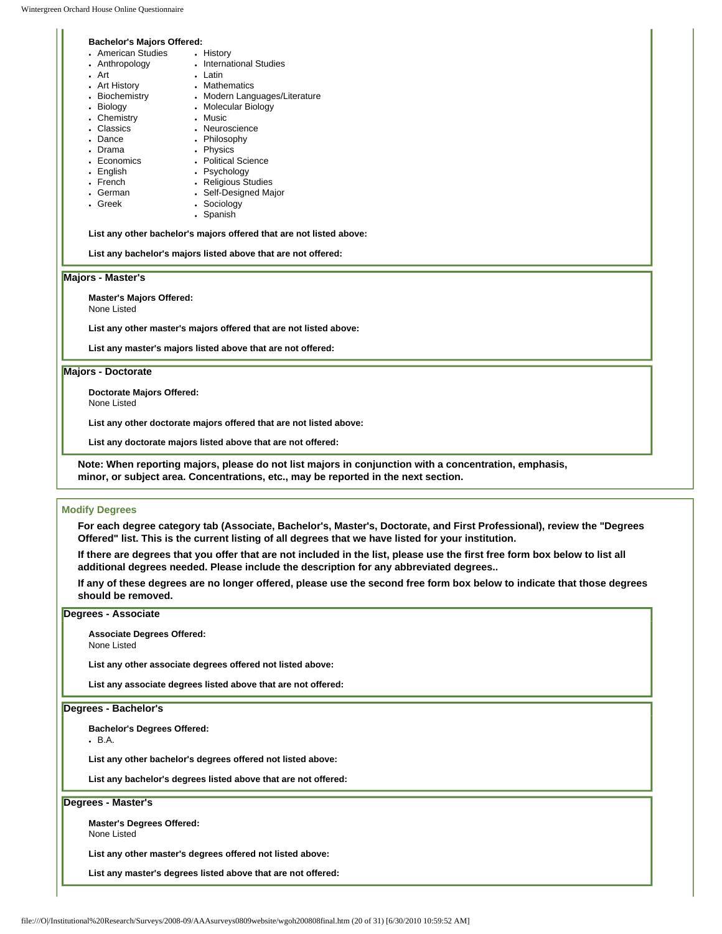#### **Bachelor's Majors Offered:**

| • American Studies | • History                     |
|--------------------|-------------------------------|
| • Anthropology     | <b>International Studies</b>  |
| • Art              | • Latin                       |
| • Art History      | • Mathematics                 |
| • Biochemistry     | • Modern Languages/Literature |
| • Biology          | • Molecular Biology           |
| • Chemistry        | • Music                       |
| • Classics         | • Neuroscience                |
| • Dance            | • Philosophy                  |
| • Drama            | • Physics                     |
| • Economics        | • Political Science           |
| • English          | • Psychology                  |
| $.$ French         | • Religious Studies           |
| • German           | • Self-Designed Major         |
|                    |                               |

- Sociology
	- Spanish

**List any other bachelor's majors offered that are not listed above:** 

**List any bachelor's majors listed above that are not offered:** 

## **Majors - Master's**

• Greek

**Master's Majors Offered:**

None Listed

**List any other master's majors offered that are not listed above:** 

**List any master's majors listed above that are not offered:** 

#### **Majors - Doctorate**

**Doctorate Majors Offered:**

None Listed

**List any other doctorate majors offered that are not listed above:** 

**List any doctorate majors listed above that are not offered:** 

**Note: When reporting majors, please do not list majors in conjunction with a concentration, emphasis, minor, or subject area. Concentrations, etc., may be reported in the next section.** 

## **Modify Degrees**

**For each degree category tab (Associate, Bachelor's, Master's, Doctorate, and First Professional), review the "Degrees Offered" list. This is the current listing of all degrees that we have listed for your institution.** 

**If there are degrees that you offer that are not included in the list, please use the first free form box below to list all additional degrees needed. Please include the description for any abbreviated degrees..** 

**If any of these degrees are no longer offered, please use the second free form box below to indicate that those degrees should be removed.** 

#### **Degrees - Associate**

**Associate Degrees Offered:** None Listed

**List any other associate degrees offered not listed above:** 

**List any associate degrees listed above that are not offered:** 

#### **Degrees - Bachelor's**

**Bachelor's Degrees Offered:**

 $-B.A.$ 

**List any other bachelor's degrees offered not listed above:** 

**List any bachelor's degrees listed above that are not offered:** 

## **Degrees - Master's**

**Master's Degrees Offered:**

None Listed

**List any other master's degrees offered not listed above:** 

**List any master's degrees listed above that are not offered:**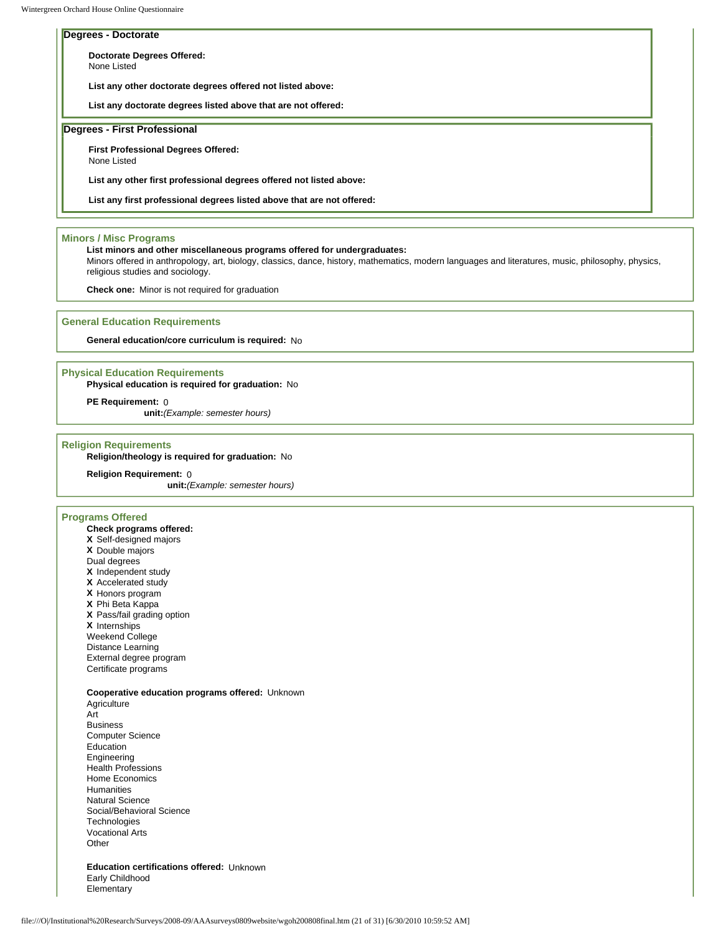## **Degrees - Doctorate**

**Doctorate Degrees Offered:** None Listed

**List any other doctorate degrees offered not listed above:** 

**List any doctorate degrees listed above that are not offered:** 

## **Degrees - First Professional**

**First Professional Degrees Offered:**

None Listed

**List any other first professional degrees offered not listed above:** 

**List any first professional degrees listed above that are not offered:** 

### **Minors / Misc Programs**

## **List minors and other miscellaneous programs offered for undergraduates:**

Minors offered in anthropology, art, biology, classics, dance, history, mathematics, modern languages and literatures, music, philosophy, physics, religious studies and sociology.

**Check one:** Minor is not required for graduation

### **General Education Requirements**

**General education/core curriculum is required:** No

### **Physical Education Requirements**

**Physical education is required for graduation:** No

**PE Requirement:** 0

**unit:***(Example: semester hours)*

## **Religion Requirements**

**Religion/theology is required for graduation:** No

### **Religion Requirement:** 0

**unit:***(Example: semester hours)*

## **Programs Offered**

**Check programs offered: X** Self-designed majors **X** Double majors Dual degrees **X** Independent study **X** Accelerated study **X** Honors program **X** Phi Beta Kappa **X** Pass/fail grading option **X** Internships Weekend College Distance Learning External degree program Certificate programs

## **Cooperative education programs offered:** Unknown

**Agriculture** Art Business Computer Science Education Engineering Health Professions Home Economics Humanities Natural Science Social/Behavioral Science **Technologies** Vocational Arts **Other** 

**Education certifications offered:** Unknown Early Childhood Elementary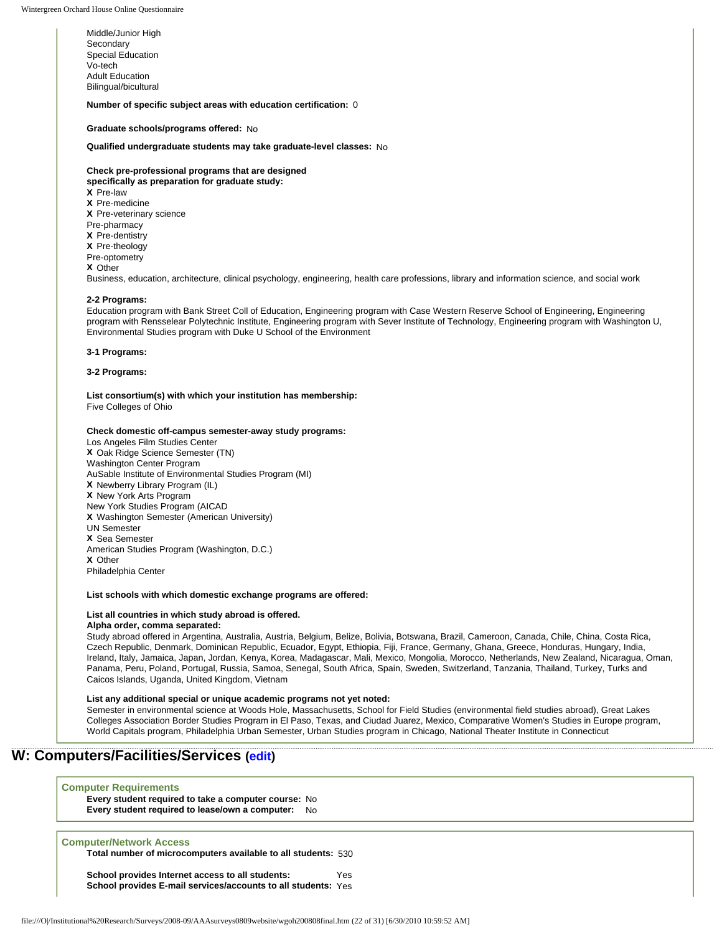Middle/Junior High **Secondary** Special Education Vo-tech Adult Education Bilingual/bicultural

**Number of specific subject areas with education certification:** 0

**Graduate schools/programs offered:** No

**Qualified undergraduate students may take graduate-level classes:** No

### **Check pre-professional programs that are designed specifically as preparation for graduate study:**

**X** Pre-law **X** Pre-medicine **X** Pre-veterinary science Pre-pharmacy **X** Pre-dentistry **X** Pre-theology Pre-optometry **X** Other Business, education, architecture, clinical psychology, engineering, health care professions, library and information science, and social work

#### **2-2 Programs:**

Education program with Bank Street Coll of Education, Engineering program with Case Western Reserve School of Engineering, Engineering program with Rensselear Polytechnic Institute, Engineering program with Sever Institute of Technology, Engineering program with Washington U, Environmental Studies program with Duke U School of the Environment

#### **3-1 Programs:**

#### **3-2 Programs:**

**List consortium(s) with which your institution has membership:**  Five Colleges of Ohio

#### **Check domestic off-campus semester-away study programs:**

Los Angeles Film Studies Center **X** Oak Ridge Science Semester (TN) Washington Center Program AuSable Institute of Environmental Studies Program (MI) **X** Newberry Library Program (IL) **X** New York Arts Program New York Studies Program (AICAD **X** Washington Semester (American University) UN Semester **X** Sea Semester American Studies Program (Washington, D.C.) **X** Other Philadelphia Center

## **List schools with which domestic exchange programs are offered:**

#### **List all countries in which study abroad is offered. Alpha order, comma separated:**

Study abroad offered in Argentina, Australia, Austria, Belgium, Belize, Bolivia, Botswana, Brazil, Cameroon, Canada, Chile, China, Costa Rica, Czech Republic, Denmark, Dominican Republic, Ecuador, Egypt, Ethiopia, Fiji, France, Germany, Ghana, Greece, Honduras, Hungary, India, Ireland, Italy, Jamaica, Japan, Jordan, Kenya, Korea, Madagascar, Mali, Mexico, Mongolia, Morocco, Netherlands, New Zealand, Nicaragua, Oman, Panama, Peru, Poland, Portugal, Russia, Samoa, Senegal, South Africa, Spain, Sweden, Switzerland, Tanzania, Thailand, Turkey, Turks and Caicos Islands, Uganda, United Kingdom, Vietnam

### **List any additional special or unique academic programs not yet noted:**

Semester in environmental science at Woods Hole, Massachusetts, School for Field Studies (environmental field studies abroad), Great Lakes Colleges Association Border Studies Program in El Paso, Texas, and Ciudad Juarez, Mexico, Comparative Women's Studies in Europe program, World Capitals program, Philadelphia Urban Semester, Urban Studies program in Chicago, National Theater Institute in Connecticut

## **W: Computers/Facilities/Services ([edit](http://survey.wgoh.com/secure/sectionWView.htm))**

**Computer Requirements**

**Every student required to take a computer course:** No **Every student required to lease/own a computer:** No

## **Computer/Network Access**

**Total number of microcomputers available to all students:** 530

**School provides Internet access to all students:** Yes **School provides E-mail services/accounts to all students:** Yes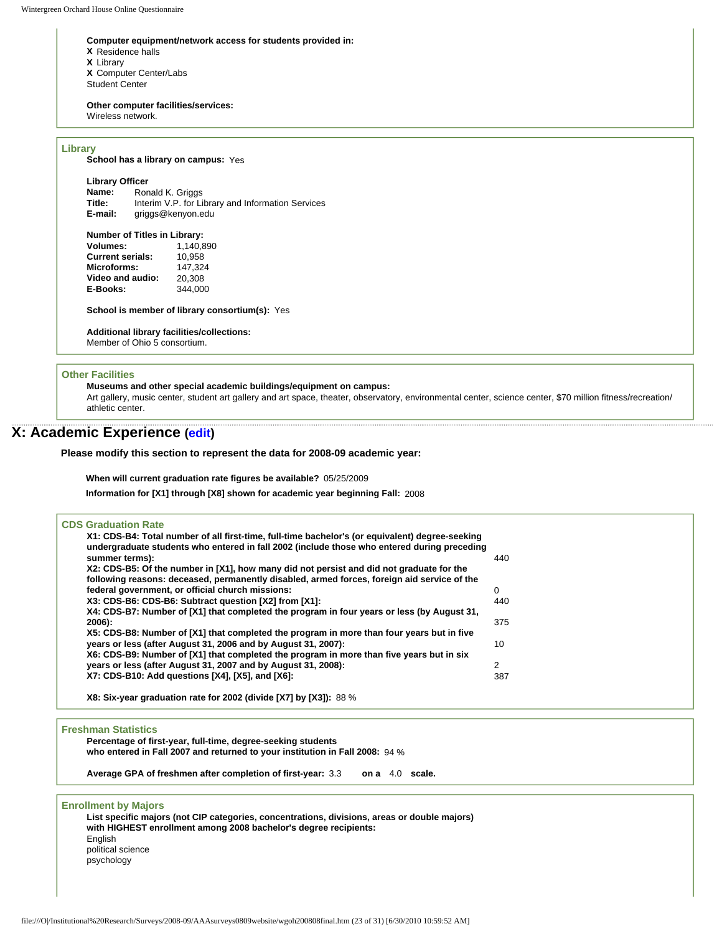**Computer equipment/network access for students provided in: X** Residence halls **X** Library **X** Computer Center/Labs Student Center

**Other computer facilities/services:** 

Wireless network.

## **Library**

**School has a library on campus:** Yes

**Library Officer Name:** Ronald K. Griggs<br>Title: Interim V.P. for Li Interim V.P. for Library and Information Services **E-mail:** griggs@kenyon.edu

**Number of Titles in Library:**

| 1.140.890 |
|-----------|
| 10.958    |
| 147.324   |
| 20.308    |
| 344.000   |
|           |

**School is member of library consortium(s):** Yes

**Additional library facilities/collections:** 

Member of Ohio 5 consortium.

## **Other Facilities**

**Museums and other special academic buildings/equipment on campus:**  Art gallery, music center, student art gallery and art space, theater, observatory, environmental center, science center, \$70 million fitness/recreation/ athletic center.

## **X: Academic Experience [\(edit\)](http://survey.wgoh.com/secure/sectionXView.htm)**

**Please modify this section to represent the data for 2008-09 academic year:** 

**When will current graduation rate figures be available?** 05/25/2009

**Information for [X1] through [X8] shown for academic year beginning Fall:** 2008

| <b>CDS Graduation Rate</b><br>X1: CDS-B4: Total number of all first-time, full-time bachelor's (or equivalent) degree-seeking |     |
|-------------------------------------------------------------------------------------------------------------------------------|-----|
| undergraduate students who entered in fall 2002 (include those who entered during preceding                                   |     |
| summer terms):                                                                                                                | 440 |
| X2: CDS-B5: Of the number in [X1], how many did not persist and did not graduate for the                                      |     |
| following reasons: deceased, permanently disabled, armed forces, foreign aid service of the                                   |     |
| federal government, or official church missions:                                                                              |     |
| X3: CDS-B6: CDS-B6: Subtract question [X2] from [X1]:                                                                         | 440 |
| X4: CDS-B7: Number of [X1] that completed the program in four years or less (by August 31,                                    |     |
| $2006$ :                                                                                                                      | 375 |
| X5: CDS-B8: Number of [X1] that completed the program in more than four years but in five                                     |     |
| years or less (after August 31, 2006 and by August 31, 2007):                                                                 | 10  |
| X6: CDS-B9: Number of [X1] that completed the program in more than five years but in six                                      |     |
| years or less (after August 31, 2007 and by August 31, 2008):                                                                 | 2   |
| X7: CDS-B10: Add questions [X4], [X5], and [X6]:                                                                              | 387 |
| X8: Six-year graduation rate for 2002 (divide [X7] by [X3]): 88 %                                                             |     |

## **Freshman Statistics**

**Percentage of first-year, full-time, degree-seeking students who entered in Fall 2007 and returned to your institution in Fall 2008:** 94 %

**Average GPA of freshmen after completion of first-year:** 3.3 **on a** 4.0 **scale.**

## **Enrollment by Majors List specific majors (not CIP categories, concentrations, divisions, areas or double majors) with HIGHEST enrollment among 2008 bachelor's degree recipients:** English political science psychology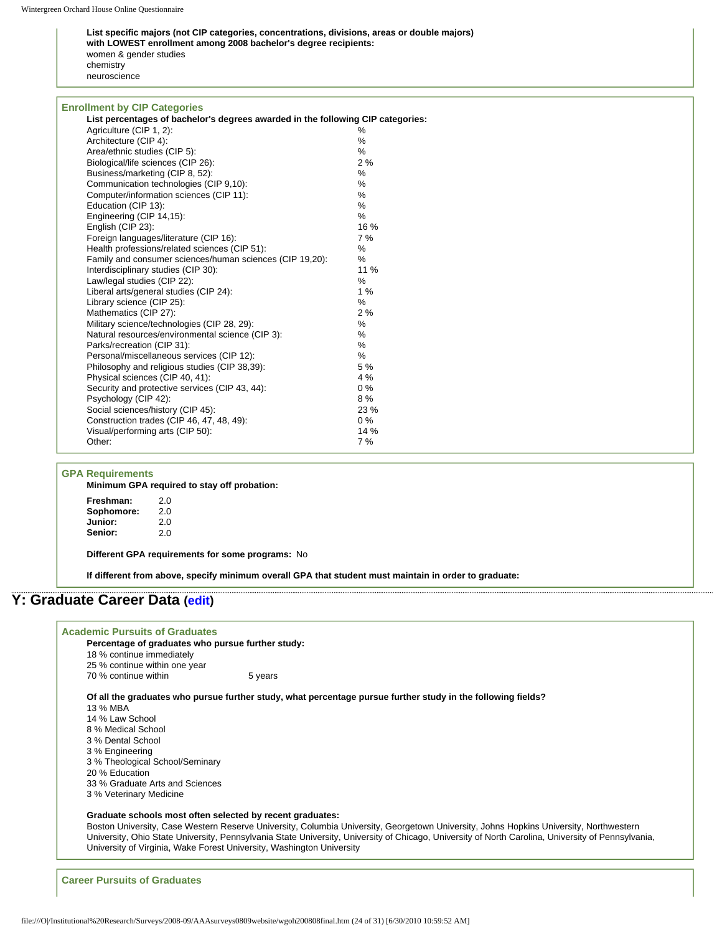| List specific majors (not CIP categories, concentrations, divisions, areas or double majors) |
|----------------------------------------------------------------------------------------------|
| with LOWEST enrollment among 2008 bachelor's degree recipients:                              |
| women & gender studies                                                                       |
| chemistry                                                                                    |
| neuroscience                                                                                 |

### **Enrollment by CIP Categories**

| List percentages of bachelor's degrees awarded in the following CIP categories: |       |  |
|---------------------------------------------------------------------------------|-------|--|
| Agriculture (CIP 1, 2):                                                         | $\%$  |  |
| Architecture (CIP 4):                                                           | %     |  |
| Area/ethnic studies (CIP 5):                                                    | %     |  |
| Biological/life sciences (CIP 26):                                              | 2%    |  |
| Business/marketing (CIP 8, 52):                                                 | $\%$  |  |
| Communication technologies (CIP 9,10):                                          | %     |  |
| Computer/information sciences (CIP 11):                                         | %     |  |
| Education (CIP 13):                                                             | %     |  |
| Engineering (CIP 14,15):                                                        | %     |  |
| English (CIP 23):                                                               | 16 %  |  |
| Foreign languages/literature (CIP 16):                                          | 7 %   |  |
| Health professions/related sciences (CIP 51):                                   | %     |  |
| Family and consumer sciences/human sciences (CIP 19.20):                        | %     |  |
| Interdisciplinary studies (CIP 30):                                             | 11 %  |  |
| Law/legal studies (CIP 22):                                                     | %     |  |
| Liberal arts/general studies (CIP 24):                                          | 1%    |  |
| Library science (CIP 25):                                                       | %     |  |
| Mathematics (CIP 27):                                                           | 2%    |  |
| Military science/technologies (CIP 28, 29):                                     | %     |  |
| Natural resources/environmental science (CIP 3):                                | $\%$  |  |
| Parks/recreation (CIP 31):                                                      | %     |  |
| Personal/miscellaneous services (CIP 12):                                       | $\%$  |  |
| Philosophy and religious studies (CIP 38,39):                                   | 5 %   |  |
| Physical sciences (CIP 40, 41):                                                 | 4 %   |  |
| Security and protective services (CIP 43, 44):                                  | $0\%$ |  |
| Psychology (CIP 42):                                                            | 8%    |  |
| Social sciences/history (CIP 45):                                               | 23 %  |  |
| Construction trades (CIP 46, 47, 48, 49):                                       | $0\%$ |  |
| Visual/performing arts (CIP 50):                                                | 14 %  |  |
| Other:                                                                          | 7%    |  |
|                                                                                 |       |  |

## **GPA Requirements**

**Minimum GPA required to stay off probation:**

| Freshman:  | 2.0 |
|------------|-----|
| Sophomore: | 2.0 |
| Junior:    | 2.0 |
| Senior:    | 2.0 |

**Different GPA requirements for some programs:** No

**If different from above, specify minimum overall GPA that student must maintain in order to graduate:**

## **Y: Graduate Career Data [\(edit\)](http://survey.wgoh.com/secure/sectionYView.htm)**

**Academic Pursuits of Graduates**

**Percentage of graduates who pursue further study:** 18 % continue immediately

25 % continue within one year

70 % continue within 5 years

**Of all the graduates who pursue further study, what percentage pursue further study in the following fields?**

13 % MBA 14 % Law School 8 % Medical School 3 % Dental School 3 % Engineering 3 % Theological School/Seminary 20 % Education 33 % Graduate Arts and Sciences 3 % Veterinary Medicine

## **Graduate schools most often selected by recent graduates:**

Boston University, Case Western Reserve University, Columbia University, Georgetown University, Johns Hopkins University, Northwestern University, Ohio State University, Pennsylvania State University, University of Chicago, University of North Carolina, University of Pennsylvania, University of Virginia, Wake Forest University, Washington University

**Career Pursuits of Graduates**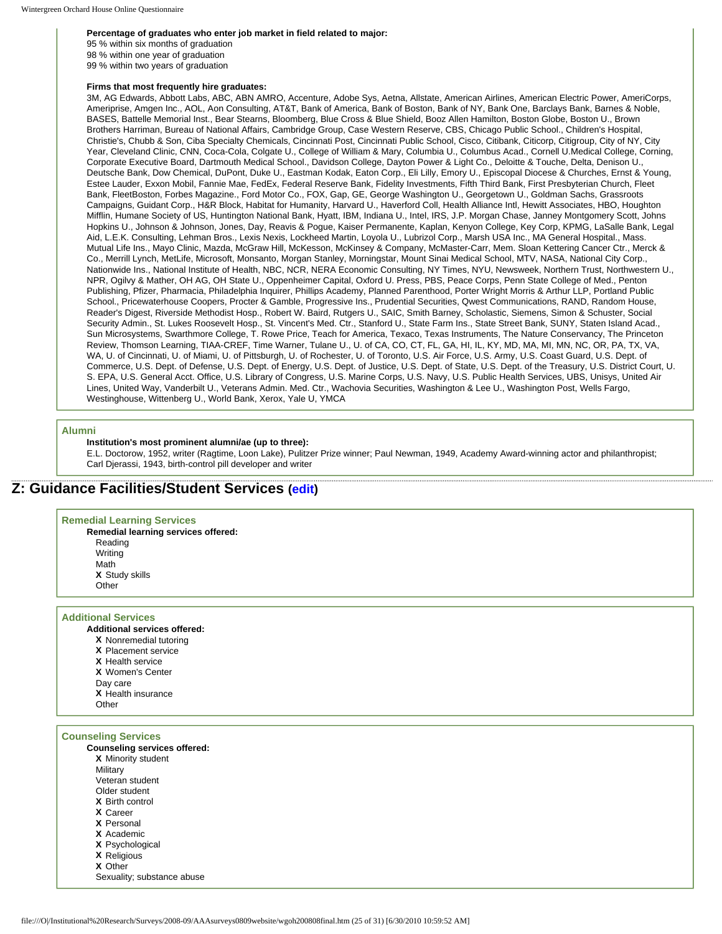#### **Percentage of graduates who enter job market in field related to major:**

95 % within six months of graduation

98 % within one year of graduation

99 % within two years of graduation

### **Firms that most frequently hire graduates:**

3M, AG Edwards, Abbott Labs, ABC, ABN AMRO, Accenture, Adobe Sys, Aetna, Allstate, American Airlines, American Electric Power, AmeriCorps, Ameriprise, Amgen Inc., AOL, Aon Consulting, AT&T, Bank of America, Bank of Boston, Bank of NY, Bank One, Barclays Bank, Barnes & Noble, BASES, Battelle Memorial Inst., Bear Stearns, Bloomberg, Blue Cross & Blue Shield, Booz Allen Hamilton, Boston Globe, Boston U., Brown Brothers Harriman, Bureau of National Affairs, Cambridge Group, Case Western Reserve, CBS, Chicago Public School., Children's Hospital, Christie's, Chubb & Son, Ciba Specialty Chemicals, Cincinnati Post, Cincinnati Public School, Cisco, Citibank, Citicorp, Citigroup, City of NY, City Year, Cleveland Clinic, CNN, Coca-Cola, Colgate U., College of William & Mary, Columbia U., Columbus Acad., Cornell U.Medical College, Corning, Corporate Executive Board, Dartmouth Medical School., Davidson College, Dayton Power & Light Co., Deloitte & Touche, Delta, Denison U., Deutsche Bank, Dow Chemical, DuPont, Duke U., Eastman Kodak, Eaton Corp., Eli Lilly, Emory U., Episcopal Diocese & Churches, Ernst & Young, Estee Lauder, Exxon Mobil, Fannie Mae, FedEx, Federal Reserve Bank, Fidelity Investments, Fifth Third Bank, First Presbyterian Church, Fleet Bank, FleetBoston, Forbes Magazine., Ford Motor Co., FOX, Gap, GE, George Washington U., Georgetown U., Goldman Sachs, Grassroots Campaigns, Guidant Corp., H&R Block, Habitat for Humanity, Harvard U., Haverford Coll, Health Alliance Intl, Hewitt Associates, HBO, Houghton Mifflin, Humane Society of US, Huntington National Bank, Hyatt, IBM, Indiana U., Intel, IRS, J.P. Morgan Chase, Janney Montgomery Scott, Johns Hopkins U., Johnson & Johnson, Jones, Day, Reavis & Pogue, Kaiser Permanente, Kaplan, Kenyon College, Key Corp, KPMG, LaSalle Bank, Legal Aid, L.E.K. Consulting, Lehman Bros., Lexis Nexis, Lockheed Martin, Loyola U., Lubrizol Corp., Marsh USA Inc., MA General Hospital., Mass. Mutual Life Ins., Mayo Clinic, Mazda, McGraw Hill, McKesson, McKinsey & Company, McMaster-Carr, Mem. Sloan Kettering Cancer Ctr., Merck & Co., Merrill Lynch, MetLife, Microsoft, Monsanto, Morgan Stanley, Morningstar, Mount Sinai Medical School, MTV, NASA, National City Corp., Nationwide Ins., National Institute of Health, NBC, NCR, NERA Economic Consulting, NY Times, NYU, Newsweek, Northern Trust, Northwestern U., NPR, Ogilvy & Mather, OH AG, OH State U., Oppenheimer Capital, Oxford U. Press, PBS, Peace Corps, Penn State College of Med., Penton Publishing, Pfizer, Pharmacia, Philadelphia Inquirer, Phillips Academy, Planned Parenthood, Porter Wright Morris & Arthur LLP, Portland Public School., Pricewaterhouse Coopers, Procter & Gamble, Progressive Ins., Prudential Securities, Qwest Communications, RAND, Random House, Reader's Digest, Riverside Methodist Hosp., Robert W. Baird, Rutgers U., SAIC, Smith Barney, Scholastic, Siemens, Simon & Schuster, Social Security Admin., St. Lukes Roosevelt Hosp., St. Vincent's Med. Ctr., Stanford U., State Farm Ins., State Street Bank, SUNY, Staten Island Acad., Sun Microsystems, Swarthmore College, T. Rowe Price, Teach for America, Texaco, Texas Instruments, The Nature Conservancy, The Princeton Review, Thomson Learning, TIAA-CREF, Time Warner, Tulane U., U. of CA, CO, CT, FL, GA, HI, IL, KY, MD, MA, MI, MN, NC, OR, PA, TX, VA, WA, U. of Cincinnati, U. of Miami, U. of Pittsburgh, U. of Rochester, U. of Toronto, U.S. Air Force, U.S. Army, U.S. Coast Guard, U.S. Dept. of Commerce, U.S. Dept. of Defense, U.S. Dept. of Energy, U.S. Dept. of Justice, U.S. Dept. of State, U.S. Dept. of the Treasury, U.S. District Court, U. S. EPA, U.S. General Acct. Office, U.S. Library of Congress, U.S. Marine Corps, U.S. Navy, U.S. Public Health Services, UBS, Unisys, United Air Lines, United Way, Vanderbilt U., Veterans Admin. Med. Ctr., Wachovia Securities, Washington & Lee U., Washington Post, Wells Fargo, Westinghouse, Wittenberg U., World Bank, Xerox, Yale U, YMCA

#### **Alumni**

### **Institution's most prominent alumni/ae (up to three):**

E.L. Doctorow, 1952, writer (Ragtime, Loon Lake), Pulitzer Prize winner; Paul Newman, 1949, Academy Award-winning actor and philanthropist; Carl Djerassi, 1943, birth-control pill developer and writer

## **Z: Guidance Facilities/Student Services ([edit](http://survey.wgoh.com/secure/sectionZView.htm))**

#### **Remedial Learning Services**

**Remedial learning services offered:** Reading Writing Math **X** Study skills **Other** 

## **Additional Services**

- **Additional services offered:**
- **X** Nonremedial tutoring
- **X** Placement service
- **X** Health service
- **X** Women's Center
- Day care
- **X** Health insurance
- **Other**

| <b>Counseling Services</b>          |  |
|-------------------------------------|--|
| <b>Counseling services offered:</b> |  |
| X Minority student                  |  |
| Military                            |  |
| Veteran student                     |  |
| Older student                       |  |
| X Birth control                     |  |
| X Career                            |  |
| <b>X</b> Personal                   |  |
| <b>X</b> Academic                   |  |
| X Psychological                     |  |
| X Religious                         |  |
| X Other                             |  |
| Sexuality: substance abuse          |  |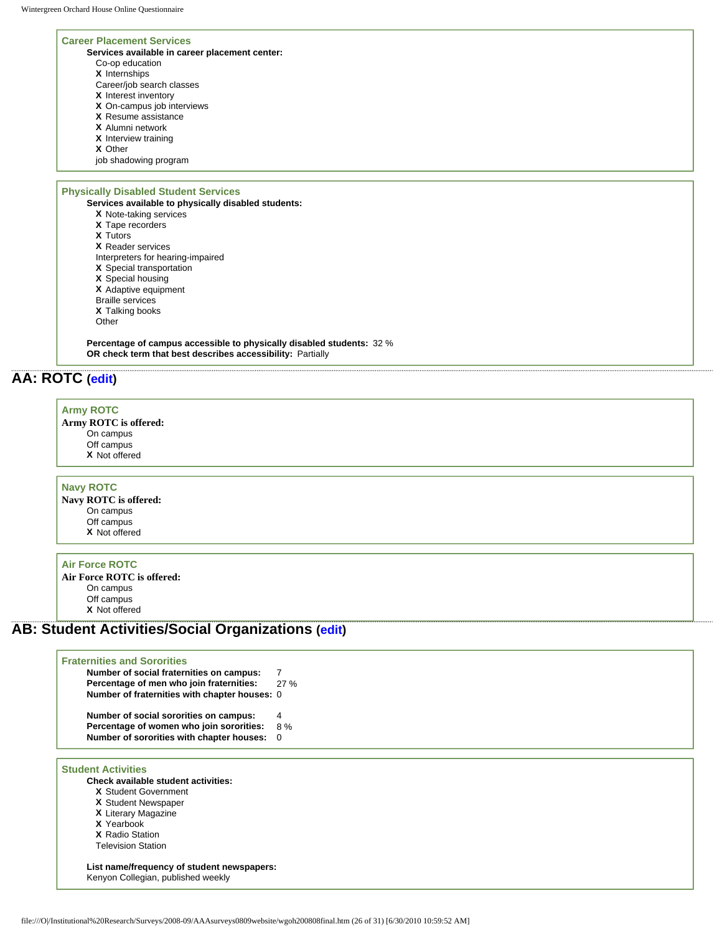**Career Placement Services**

Co-op education

**Services available in career placement center:**

| X Internships                                                         |
|-----------------------------------------------------------------------|
| Career/job search classes                                             |
| X Interest inventory                                                  |
| X On-campus job interviews                                            |
| X Resume assistance                                                   |
| X Alumni network                                                      |
| X Interview training                                                  |
| X Other                                                               |
| job shadowing program                                                 |
| <b>Physically Disabled Student Services</b>                           |
| Services available to physically disabled students:                   |
| X Note-taking services                                                |
| X Tape recorders                                                      |
| X Tutors                                                              |
| X Reader services                                                     |
| Interpreters for hearing-impaired                                     |
| X Special transportation                                              |
| X Special housing                                                     |
| X Adaptive equipment                                                  |
| <b>Braille services</b>                                               |
| X Talking books                                                       |
| Other                                                                 |
| Percentage of campus accessible to physically disabled students: 32 % |
| OR check term that best describes accessibility: Partially            |
| AA: ROTC (edit)                                                       |
|                                                                       |
| <b>Army ROTC</b>                                                      |
| Army ROTC is offered:                                                 |
| On campus                                                             |
| Off campus                                                            |
| X Not offered                                                         |

## **Navy ROTC**

**Navy ROTC is offered:** On campus Off campus **X** Not offered

## **Air Force ROTC**

**Air Force ROTC is offered:** On campus Off campus **X** Not offered

## **AB: Student Activities/Social Organizations ([edit](http://survey.wgoh.com/secure/sectionABView.htm))**

| <b>Fraternities and Sororities</b>            |          |
|-----------------------------------------------|----------|
| Number of social fraternities on campus:      |          |
| Percentage of men who join fraternities:      | 27%      |
| Number of fraternities with chapter houses: 0 |          |
| Number of social sororities on campus:        | 4        |
| Percentage of women who join sororities:      | 8%       |
| Number of sororities with chapter houses:     | $\Omega$ |

## **Student Activities**

**Check available student activities:**

- **X** Student Government
- **X** Student Newspaper **X** Literary Magazine
- **X** Yearbook
- **X** Radio Station
- Television Station

### **List name/frequency of student newspapers:**  Kenyon Collegian, published weekly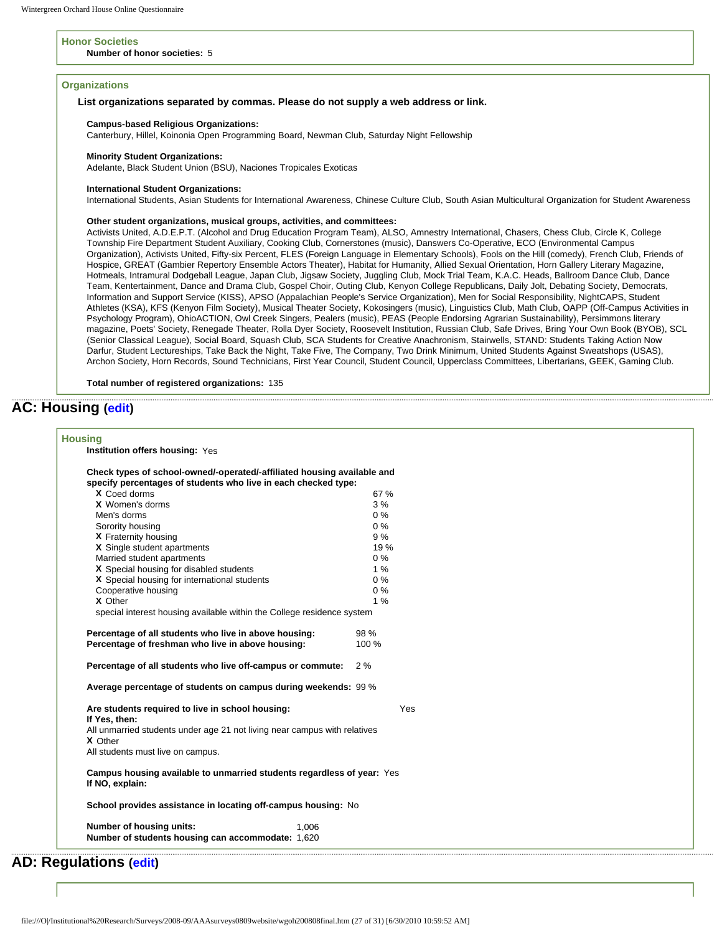### **Honor Societies**

**Number of honor societies:** 5

## **Organizations**

### **List organizations separated by commas. Please do not supply a web address or link.**

### **Campus-based Religious Organizations:**

Canterbury, Hillel, Koinonia Open Programming Board, Newman Club, Saturday Night Fellowship

#### **Minority Student Organizations:**

Adelante, Black Student Union (BSU), Naciones Tropicales Exoticas

#### **International Student Organizations:**

International Students, Asian Students for International Awareness, Chinese Culture Club, South Asian Multicultural Organization for Student Awareness

### **Other student organizations, musical groups, activities, and committees:**

Activists United, A.D.E.P.T. (Alcohol and Drug Education Program Team), ALSO, Amnestry International, Chasers, Chess Club, Circle K, College Township Fire Department Student Auxiliary, Cooking Club, Cornerstones (music), Danswers Co-Operative, ECO (Environmental Campus Organization), Activists United, Fifty-six Percent, FLES (Foreign Language in Elementary Schools), Fools on the Hill (comedy), French Club, Friends of Hospice, GREAT (Gambier Repertory Ensemble Actors Theater), Habitat for Humanity, Allied Sexual Orientation, Horn Gallery Literary Magazine, Hotmeals, Intramural Dodgeball League, Japan Club, Jigsaw Society, Juggling Club, Mock Trial Team, K.A.C. Heads, Ballroom Dance Club, Dance Team, Kentertainment, Dance and Drama Club, Gospel Choir, Outing Club, Kenyon College Republicans, Daily Jolt, Debating Society, Democrats, Information and Support Service (KISS), APSO (Appalachian People's Service Organization), Men for Social Responsibility, NightCAPS, Student Athletes (KSA), KFS (Kenyon Film Society), Musical Theater Society, Kokosingers (music), Linguistics Club, Math Club, OAPP (Off-Campus Activities in Psychology Program), OhioACTION, Owl Creek Singers, Pealers (music), PEAS (People Endorsing Agrarian Sustainability), Persimmons literary magazine, Poets' Society, Renegade Theater, Rolla Dyer Society, Roosevelt Institution, Russian Club, Safe Drives, Bring Your Own Book (BYOB), SCL (Senior Classical League), Social Board, Squash Club, SCA Students for Creative Anachronism, Stairwells, STAND: Students Taking Action Now Darfur, Student Lectureships, Take Back the Night, Take Five, The Company, Two Drink Minimum, United Students Against Sweatshops (USAS), Archon Society, Horn Records, Sound Technicians, First Year Council, Student Council, Upperclass Committees, Libertarians, GEEK, Gaming Club.

**Total number of registered organizations:** 135

## **AC: Housing [\(edit](http://survey.wgoh.com/secure/sectionACView.htm))**

## **Housing**

**Institution offers housing:** Yes

| specify percentages of students who live in each checked type:<br>X Coed dorms            | 67%   |
|-------------------------------------------------------------------------------------------|-------|
| X Women's dorms                                                                           | 3%    |
| Men's dorms                                                                               | $0\%$ |
| Sorority housing                                                                          | $0\%$ |
| X Fraternity housing                                                                      | 9%    |
| X Single student apartments                                                               | 19%   |
| Married student apartments                                                                | 0%    |
| X Special housing for disabled students                                                   | 1%    |
| X Special housing for international students                                              | 0%    |
| Cooperative housing                                                                       | 0%    |
| X Other                                                                                   | 1%    |
| special interest housing available within the College residence system                    |       |
| Percentage of all students who live in above housing:                                     | 98%   |
| Percentage of freshman who live in above housing:                                         | 100 % |
| Percentage of all students who live off-campus or commute:                                | 2%    |
| Average percentage of students on campus during weekends: 99 %                            |       |
| Are students required to live in school housing:                                          | Yes   |
| If Yes, then:                                                                             |       |
| All unmarried students under age 21 not living near campus with relatives                 |       |
| X Other                                                                                   |       |
| All students must live on campus.                                                         |       |
| Campus housing available to unmarried students regardless of year: Yes<br>If NO, explain: |       |
| School provides assistance in locating off-campus housing: No                             |       |
| Number of housing units:<br>1,006                                                         |       |
| Number of students housing can accommodate: 1.620                                         |       |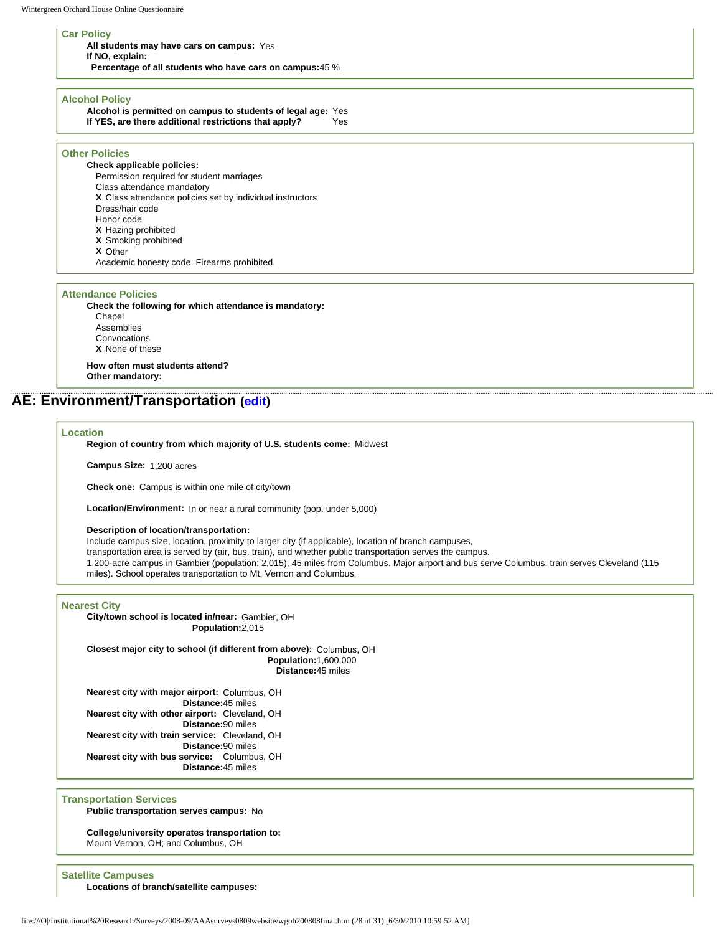#### **Car Policy**

**All students may have cars on campus:** Yes **If NO, explain: Percentage of all students who have cars on campus:**45 %

## **Alcohol Policy**

| Alcohol is permitted on campus to students of legal age: Yes |     |
|--------------------------------------------------------------|-----|
| If YES, are there additional restrictions that apply?        | Yes |

## **Other Policies**

**Check applicable policies:** Permission required for student marriages Class attendance mandatory **X** Class attendance policies set by individual instructors Dress/hair code Honor code **X** Hazing prohibited **X** Smoking prohibited **X** Other Academic honesty code. Firearms prohibited.

#### **Attendance Policies**

**Check the following for which attendance is mandatory:** Chapel Assemblies Convocations **X** None of these

**How often must students attend? Other mandatory:** 

## **AE: Environment/Transportation [\(edit\)](http://survey.wgoh.com/secure/sectionAEView.htm)**

## **Location**

**Region of country from which majority of U.S. students come:** Midwest

**Campus Size:** 1,200 acres

**Check one:** Campus is within one mile of city/town

**Location/Environment:** In or near a rural community (pop. under 5,000)

### **Description of location/transportation:**

Include campus size, location, proximity to larger city (if applicable), location of branch campuses, transportation area is served by (air, bus, train), and whether public transportation serves the campus. 1,200-acre campus in Gambier (population: 2,015), 45 miles from Columbus. Major airport and bus serve Columbus; train serves Cleveland (115 miles). School operates transportation to Mt. Vernon and Columbus.

### **Nearest City**

**City/town school is located in/near:** Gambier, OH **Population:**2,015

**Closest major city to school (if different from above):** Columbus, OH **Population:**1,600,000 **Distance:**45 miles

**Nearest city with major airport:** Columbus, OH **Distance:**45 miles **Nearest city with other airport:** Cleveland, OH **Distance:**90 miles **Nearest city with train service:** Cleveland, OH **Distance:**90 miles **Nearest city with bus service:** Columbus, OH **Distance:**45 miles

#### **Transportation Services**

**Public transportation serves campus:** No

**College/university operates transportation to:** Mount Vernon, OH; and Columbus, OH

**Satellite Campuses Locations of branch/satellite campuses:**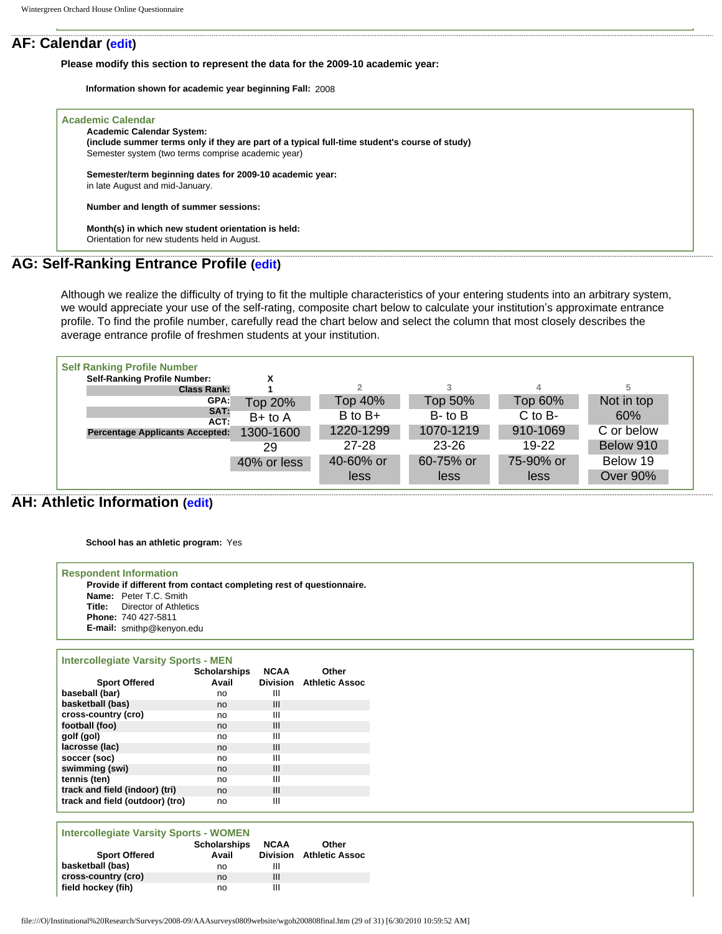## **AF: Calendar ([edit](http://survey.wgoh.com/secure/sectionAFView.htm))**

**Please modify this section to represent the data for the 2009-10 academic year:** 

**Information shown for academic year beginning Fall:** 2008

| <b>Academic Calendar System:</b>                                                              |
|-----------------------------------------------------------------------------------------------|
| (include summer terms only if they are part of a typical full-time student's course of study) |
| Semester system (two terms comprise academic year)                                            |
| Semester/term beginning dates for 2009-10 academic year:                                      |
| in late August and mid-January.                                                               |
| Number and length of summer sessions:                                                         |
| Month(s) in which new student orientation is held:                                            |
| Orientation for new students held in August.                                                  |

## **AG: Self-Ranking Entrance Profile [\(edit\)](http://survey.wgoh.com/secure/sectionAGView.htm)**

Although we realize the difficulty of trying to fit the multiple characteristics of your entering students into an arbitrary system, we would appreciate your use of the self-rating, composite chart below to calculate your institution's approximate entrance profile. To find the profile number, carefully read the chart below and select the column that most closely describes the average entrance profile of freshmen students at your institution.

| <b>Self Ranking Profile Number</b><br><b>Self-Ranking Profile Number:</b><br><b>Class Rank:</b> | x           |             |              |             | 5               |
|-------------------------------------------------------------------------------------------------|-------------|-------------|--------------|-------------|-----------------|
| GPA:                                                                                            | Top 20%     | Top 40%     | Top 50%      | Top 60%     | Not in top      |
| SAT:<br>ACT:                                                                                    | $B+$ to $A$ | $B$ to $B+$ | $B$ - to $B$ | $C$ to $B-$ | 60%             |
| <b>Percentage Applicants Accepted:</b>                                                          | 1300-1600   | 1220-1299   | 1070-1219    | 910-1069    | C or below      |
|                                                                                                 | 29          | $27 - 28$   | $23 - 26$    | 19-22       | Below 910       |
|                                                                                                 | 40% or less | 40-60% or   | 60-75% or    | 75-90% or   | Below 19        |
|                                                                                                 |             | less        | less         | less        | <b>Over 90%</b> |

## **AH: Athletic Information ([edit](http://survey.wgoh.com/secure/sectionAHView.htm))**

**School has an athletic program:** Yes

| Provide if different from contact completing rest of questionnaire.<br><b>Name:</b> Peter T.C. Smith |
|------------------------------------------------------------------------------------------------------|
| <b>Title:</b> Director of Athletics                                                                  |
| <b>Phone: 740 427-5811</b>                                                                           |
| <b>E-mail:</b> smithp@kenyon.edu                                                                     |

| <b>Sport Offered</b>            | <b>Scholarships</b><br>Avail | <b>NCAA</b> | Other<br>Division Athletic Assoc |
|---------------------------------|------------------------------|-------------|----------------------------------|
| baseball (bar)                  | no                           | Ш           |                                  |
| basketball (bas)                | no                           | Ш           |                                  |
| cross-country (cro)             | no                           | Ш           |                                  |
| football (foo)                  | no                           | Ш           |                                  |
| golf (gol)                      | no                           | Ш           |                                  |
| lacrosse (lac)                  | no                           | Ш           |                                  |
| soccer (soc)                    | no                           | Ш           |                                  |
| swimming (swi)                  | no                           | Ш           |                                  |
| tennis (ten)                    | no                           | Ш           |                                  |
| track and field (indoor) (tri)  | no                           | Ш           |                                  |
| track and field (outdoor) (tro) | no                           | Ш           |                                  |

| <b>Intercollegiate Varsity Sports - WOMEN</b> |                     |             |                         |
|-----------------------------------------------|---------------------|-------------|-------------------------|
|                                               | <b>Scholarships</b> | <b>NCAA</b> | Other                   |
| <b>Sport Offered</b>                          | Avail               |             | Division Athletic Assoc |
| basketball (bas)                              | no                  | Ш           |                         |
| cross-country (cro)                           | no                  | Ш           |                         |
| field hockey (fih)                            | no                  | Ш           |                         |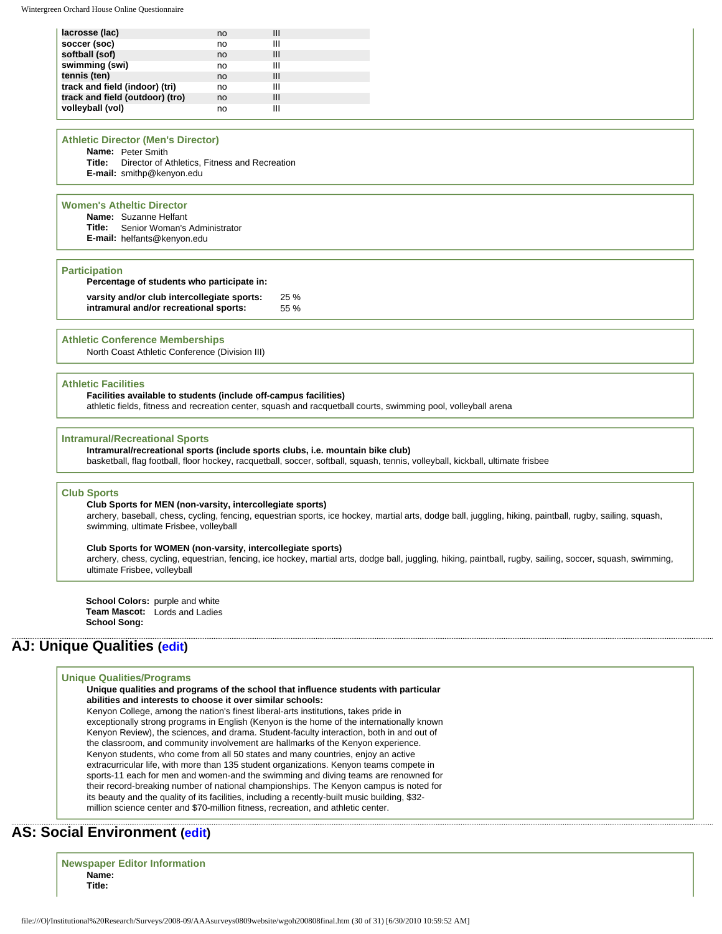| lacrosse (lac)                  | no | Ш |  |
|---------------------------------|----|---|--|
| soccer (soc)                    | no | Ш |  |
| softball (sof)                  | no | Ш |  |
| swimming (swi)                  | no | Ш |  |
| tennis (ten)                    | no | Ш |  |
| track and field (indoor) (tri)  | no | Ш |  |
| track and field (outdoor) (tro) | no | Ш |  |
| volleyball (vol)                | no | Ш |  |

## **Athletic Director (Men's Director)**

**Name:** Peter Smith

**Title:** Director of Athletics, Fitness and Recreation **E-mail:** smithp@kenyon.edu

#### **Women's Atheltic Director**

**Name:** Suzanne Helfant **Title:** Senior Woman's Administrator **E-mail:** helfants@kenyon.edu

### **Participation**

**Percentage of students who participate in:**

| varsity and/or club intercollegiate sports: | 25%  |
|---------------------------------------------|------|
| intramural and/or recreational sports:      | 55 % |

## **Athletic Conference Memberships**

North Coast Athletic Conference (Division III)

## **Athletic Facilities**

### **Facilities available to students (include off-campus facilities)**

athletic fields, fitness and recreation center, squash and racquetball courts, swimming pool, volleyball arena

#### **Intramural/Recreational Sports**

**Intramural/recreational sports (include sports clubs, i.e. mountain bike club)** 

basketball, flag football, floor hockey, racquetball, soccer, softball, squash, tennis, volleyball, kickball, ultimate frisbee

## **Club Sports**

**Club Sports for MEN (non-varsity, intercollegiate sports)** 

archery, baseball, chess, cycling, fencing, equestrian sports, ice hockey, martial arts, dodge ball, juggling, hiking, paintball, rugby, sailing, squash, swimming, ultimate Frisbee, volleyball

### **Club Sports for WOMEN (non-varsity, intercollegiate sports)**

archery, chess, cycling, equestrian, fencing, ice hockey, martial arts, dodge ball, juggling, hiking, paintball, rugby, sailing, soccer, squash, swimming, ultimate Frisbee, volleyball

**School Colors:** purple and white **Team Mascot:** Lords and Ladies **School Song:** 

## **AJ: Unique Qualities [\(edit](http://survey.wgoh.com/secure/sectionAJView.htm))**

#### **Unique Qualities/Programs**

**Unique qualities and programs of the school that influence students with particular abilities and interests to choose it over similar schools:** 

Kenyon College, among the nation's finest liberal-arts institutions, takes pride in exceptionally strong programs in English (Kenyon is the home of the internationally known Kenyon Review), the sciences, and drama. Student-faculty interaction, both in and out of the classroom, and community involvement are hallmarks of the Kenyon experience. Kenyon students, who come from all 50 states and many countries, enjoy an active extracurricular life, with more than 135 student organizations. Kenyon teams compete in sports-11 each for men and women-and the swimming and diving teams are renowned for their record-breaking number of national championships. The Kenyon campus is noted for its beauty and the quality of its facilities, including a recently-built music building, \$32 million science center and \$70-million fitness, recreation, and athletic center.

## **AS: Social Environment ([edit](http://survey.wgoh.com/secure/sectionASView.htm))**

**Newspaper Editor Information Name: Title:**